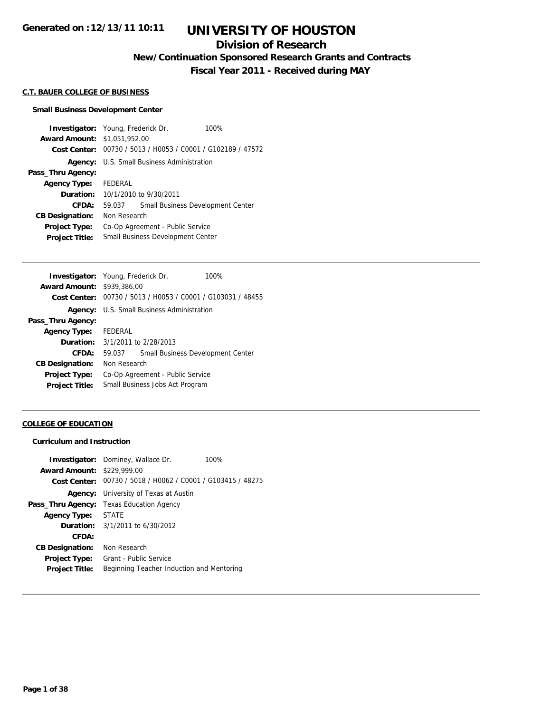## **Division of Research**

**New/Continuation Sponsored Research Grants and Contracts**

**Fiscal Year 2011 - Received during MAY**

#### **C.T. BAUER COLLEGE OF BUSINESS**

#### **Small Business Development Center**

**Investigator:** Young, Frederick Dr. 100% **Award Amount:** \$1,051,952.00 **Cost Center:** 00730 / 5013 / H0053 / C0001 / G102189 / 47572 **Agency:** U.S. Small Business Administration **Pass\_Thru Agency: Agency Type:** FEDERAL **Duration:** 10/1/2010 to 9/30/2011 **CFDA:** 59.037 Small Business Development Center **CB Designation:** Non Research **Project Type:** Co-Op Agreement - Public Service **Project Title:** Small Business Development Center

| <b>Investigator:</b> Young, Frederick Dr. |              |                                                             | 100% |
|-------------------------------------------|--------------|-------------------------------------------------------------|------|
| <b>Award Amount: \$939,386.00</b>         |              |                                                             |      |
|                                           |              | Cost Center: 00730 / 5013 / H0053 / C0001 / G103031 / 48455 |      |
| Agency:                                   |              | U.S. Small Business Administration                          |      |
| Pass_Thru Agency:                         |              |                                                             |      |
| <b>Agency Type:</b>                       | FEDERAL      |                                                             |      |
| <b>Duration:</b> 3/1/2011 to 2/28/2013    |              |                                                             |      |
| CFDA:                                     | 59.037       | Small Business Development Center                           |      |
| <b>CB Designation:</b>                    | Non Research |                                                             |      |
| <b>Project Type:</b>                      |              | Co-Op Agreement - Public Service                            |      |
| <b>Project Title:</b>                     |              | Small Business Jobs Act Program                             |      |
|                                           |              |                                                             |      |

#### **COLLEGE OF EDUCATION**

#### **Curriculum and Instruction**

|                                   | <b>Investigator:</b> Dominey, Wallace Dr.                   | 100% |
|-----------------------------------|-------------------------------------------------------------|------|
| <b>Award Amount: \$229,999.00</b> |                                                             |      |
|                                   | Cost Center: 00730 / 5018 / H0062 / C0001 / G103415 / 48275 |      |
|                                   | <b>Agency:</b> University of Texas at Austin                |      |
|                                   | <b>Pass_Thru Agency:</b> Texas Education Agency             |      |
| Agency Type: STATE                |                                                             |      |
|                                   | <b>Duration:</b> $3/1/2011$ to $6/30/2012$                  |      |
| CFDA:                             |                                                             |      |
| <b>CB Designation:</b>            | Non Research                                                |      |
| <b>Project Type:</b>              | Grant - Public Service                                      |      |
| <b>Project Title:</b>             | Beginning Teacher Induction and Mentoring                   |      |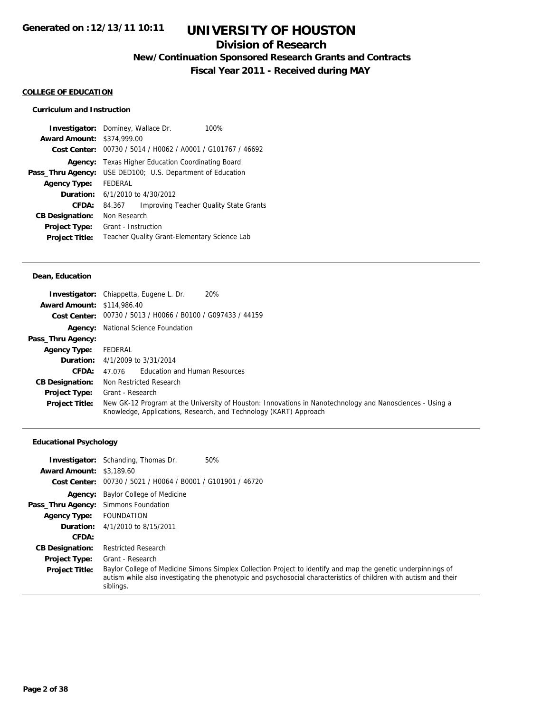## **Division of Research**

**New/Continuation Sponsored Research Grants and Contracts**

**Fiscal Year 2011 - Received during MAY**

### **COLLEGE OF EDUCATION**

## **Curriculum and Instruction**

|                                   | <b>Investigator:</b> Dominey, Wallace Dr.      | 100%                                   |
|-----------------------------------|------------------------------------------------|----------------------------------------|
| <b>Award Amount: \$374,999.00</b> |                                                |                                        |
| Cost Center:                      | 00730 / 5014 / H0062 / A0001 / G101767 / 46692 |                                        |
| Agency:                           | Texas Higher Education Coordinating Board      |                                        |
| Pass_Thru Agency:                 | USE DED100; U.S. Department of Education       |                                        |
| <b>Agency Type:</b>               | <b>FFDFRAL</b>                                 |                                        |
|                                   | <b>Duration:</b> $6/1/2010$ to $4/30/2012$     |                                        |
| CFDA:                             | 84.367                                         | Improving Teacher Quality State Grants |
| <b>CB Designation:</b>            | Non Research                                   |                                        |
| <b>Project Type:</b>              | Grant - Instruction                            |                                        |
| <b>Project Title:</b>             | Teacher Quality Grant-Elementary Science Lab   |                                        |

### **Dean, Education**

| <b>Award Amount: \$114,986.40</b> | 20%<br><b>Investigator:</b> Chiappetta, Eugene L. Dr.                                                                                                                         |
|-----------------------------------|-------------------------------------------------------------------------------------------------------------------------------------------------------------------------------|
|                                   | Cost Center: 00730 / 5013 / H0066 / B0100 / G097433 / 44159                                                                                                                   |
|                                   | <b>Agency:</b> National Science Foundation                                                                                                                                    |
| Pass_Thru Agency:                 |                                                                                                                                                                               |
| <b>Agency Type:</b>               | FEDERAL                                                                                                                                                                       |
|                                   | <b>Duration:</b> 4/1/2009 to 3/31/2014                                                                                                                                        |
| CFDA:                             | Education and Human Resources<br>47.076                                                                                                                                       |
| <b>CB Designation:</b>            | Non Restricted Research                                                                                                                                                       |
| <b>Project Type:</b>              | Grant - Research                                                                                                                                                              |
| <b>Project Title:</b>             | New GK-12 Program at the University of Houston: Innovations in Nanotechnology and Nanosciences - Using a<br>Knowledge, Applications, Research, and Technology (KART) Approach |

## **Educational Psychology**

|                                      | 50%<br><b>Investigator:</b> Schanding, Thomas Dr.                                                                                                                                                                                               |
|--------------------------------------|-------------------------------------------------------------------------------------------------------------------------------------------------------------------------------------------------------------------------------------------------|
| <b>Award Amount: \$3,189.60</b>      |                                                                                                                                                                                                                                                 |
|                                      | Cost Center: 00730 / 5021 / H0064 / B0001 / G101901 / 46720                                                                                                                                                                                     |
|                                      | <b>Agency:</b> Baylor College of Medicine                                                                                                                                                                                                       |
| Pass_Thru Agency: Simmons Foundation |                                                                                                                                                                                                                                                 |
| <b>Agency Type:</b>                  | FOUNDATION                                                                                                                                                                                                                                      |
| Duration:                            | 4/1/2010 to 8/15/2011                                                                                                                                                                                                                           |
| CFDA:                                |                                                                                                                                                                                                                                                 |
| <b>CB Designation:</b>               | <b>Restricted Research</b>                                                                                                                                                                                                                      |
| <b>Project Type:</b>                 | Grant - Research                                                                                                                                                                                                                                |
| <b>Project Title:</b>                | Baylor College of Medicine Simons Simplex Collection Project to identify and map the genetic underpinnings of<br>autism while also investigating the phenotypic and psychosocial characteristics of children with autism and their<br>siblings. |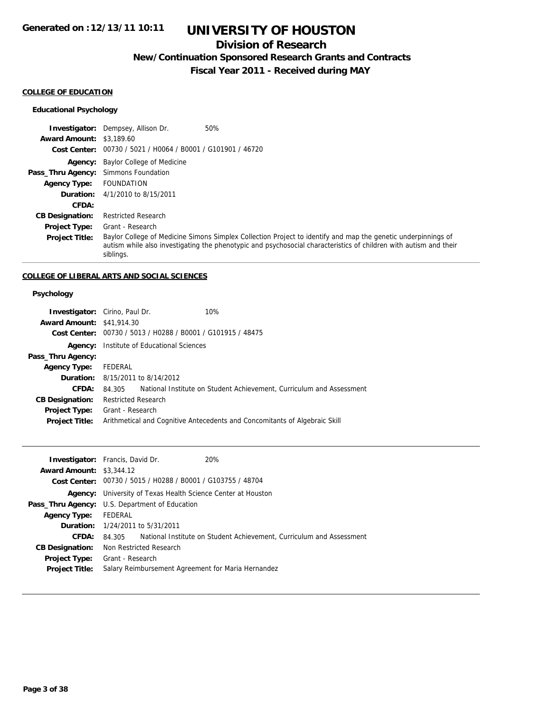## **Division of Research**

**New/Continuation Sponsored Research Grants and Contracts**

**Fiscal Year 2011 - Received during MAY**

### **COLLEGE OF EDUCATION**

## **Educational Psychology**

|                                      | 50%<br><b>Investigator:</b> Dempsey, Allison Dr.                                                                                                                                                                                                |
|--------------------------------------|-------------------------------------------------------------------------------------------------------------------------------------------------------------------------------------------------------------------------------------------------|
| <b>Award Amount: \$3,189.60</b>      |                                                                                                                                                                                                                                                 |
|                                      | Cost Center: 00730 / 5021 / H0064 / B0001 / G101901 / 46720                                                                                                                                                                                     |
|                                      | <b>Agency:</b> Baylor College of Medicine                                                                                                                                                                                                       |
| Pass_Thru Agency: Simmons Foundation |                                                                                                                                                                                                                                                 |
| <b>Agency Type:</b>                  | <b>FOUNDATION</b>                                                                                                                                                                                                                               |
|                                      | <b>Duration:</b> 4/1/2010 to 8/15/2011                                                                                                                                                                                                          |
| CFDA:                                |                                                                                                                                                                                                                                                 |
| <b>CB Designation:</b>               | <b>Restricted Research</b>                                                                                                                                                                                                                      |
| <b>Project Type:</b>                 | Grant - Research                                                                                                                                                                                                                                |
| <b>Project Title:</b>                | Baylor College of Medicine Simons Simplex Collection Project to identify and map the genetic underpinnings of<br>autism while also investigating the phenotypic and psychosocial characteristics of children with autism and their<br>siblings. |

## **COLLEGE OF LIBERAL ARTS AND SOCIAL SCIENCES**

## **Psychology**

| <b>Investigator:</b> Cirino, Paul Dr. |                            |                                                  | 10%                                                                        |
|---------------------------------------|----------------------------|--------------------------------------------------|----------------------------------------------------------------------------|
| <b>Award Amount: \$41,914.30</b>      |                            |                                                  |                                                                            |
| Cost Center:                          |                            | 00730 / 5013 / H0288 / B0001 / G101915 / 48475   |                                                                            |
|                                       |                            | <b>Agency:</b> Institute of Educational Sciences |                                                                            |
| Pass_Thru Agency:                     |                            |                                                  |                                                                            |
| <b>Agency Type:</b>                   | FEDERAL                    |                                                  |                                                                            |
|                                       |                            | <b>Duration:</b> 8/15/2011 to 8/14/2012          |                                                                            |
| CFDA:                                 | 84.305                     |                                                  | National Institute on Student Achievement, Curriculum and Assessment       |
| <b>CB Designation:</b>                | <b>Restricted Research</b> |                                                  |                                                                            |
| <b>Project Type:</b>                  | Grant - Research           |                                                  |                                                                            |
| <b>Project Title:</b>                 |                            |                                                  | Arithmetical and Cognitive Antecedents and Concomitants of Algebraic Skill |
|                                       |                            |                                                  |                                                                            |

|                                 | <b>Investigator:</b> Francis, David Dr.<br>20%                              |
|---------------------------------|-----------------------------------------------------------------------------|
| <b>Award Amount: \$3,344.12</b> |                                                                             |
|                                 | Cost Center: 00730 / 5015 / H0288 / B0001 / G103755 / 48704                 |
|                                 | <b>Agency:</b> University of Texas Health Science Center at Houston         |
|                                 | <b>Pass_Thru Agency:</b> U.S. Department of Education                       |
| <b>Agency Type:</b>             | FEDERAL                                                                     |
|                                 | <b>Duration:</b> 1/24/2011 to 5/31/2011                                     |
| CFDA:                           | 84.305 National Institute on Student Achievement, Curriculum and Assessment |
| <b>CB Designation:</b>          | Non Restricted Research                                                     |
| <b>Project Type:</b>            | Grant - Research                                                            |
| <b>Project Title:</b>           | Salary Reimbursement Agreement for Maria Hernandez                          |
|                                 |                                                                             |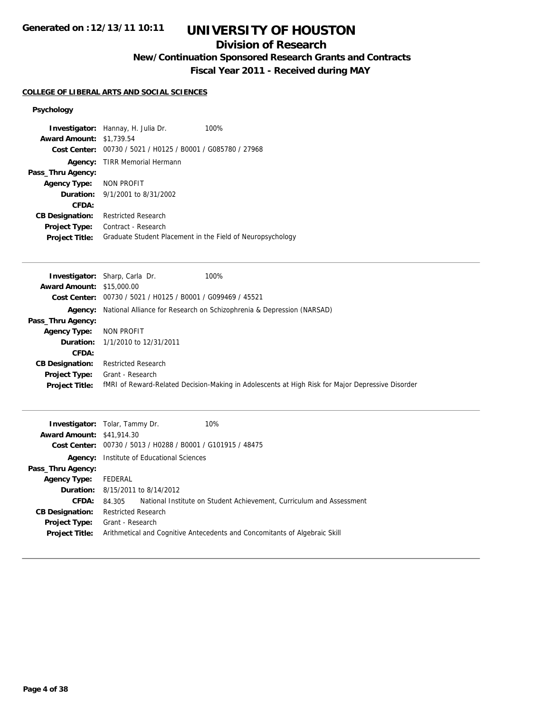## **UNIVERSITY OF HOUSTON**

## **Division of Research**

**New/Continuation Sponsored Research Grants and Contracts**

**Fiscal Year 2011 - Received during MAY**

### **COLLEGE OF LIBERAL ARTS AND SOCIAL SCIENCES**

## **Psychology**

|                                  | 100%<br>Investigator: Hannay, H. Julia Dr.                                                       |
|----------------------------------|--------------------------------------------------------------------------------------------------|
| <b>Award Amount:</b>             | \$1,739.54                                                                                       |
| <b>Cost Center:</b>              | 00730 / 5021 / H0125 / B0001 / G085780 / 27968                                                   |
| Agency:                          | <b>TIRR Memorial Hermann</b>                                                                     |
| Pass_Thru Agency:                |                                                                                                  |
| <b>Agency Type:</b>              | <b>NON PROFIT</b>                                                                                |
| Duration:                        | 9/1/2001 to 8/31/2002                                                                            |
| CFDA:                            |                                                                                                  |
| <b>CB Designation:</b>           | <b>Restricted Research</b>                                                                       |
| <b>Project Type:</b>             | Contract - Research                                                                              |
| Project Title:                   | Graduate Student Placement in the Field of Neuropsychology                                       |
|                                  |                                                                                                  |
|                                  | 100%<br>Investigator: Sharp, Carla Dr.                                                           |
| <b>Award Amount:</b>             | \$15,000.00                                                                                      |
|                                  | Cost Center: 00730 / 5021 / H0125 / B0001 / G099469 / 45521                                      |
|                                  | National Alliance for Research on Schizophrenia & Depression (NARSAD)                            |
| Agency:<br>Pass_Thru Agency:     |                                                                                                  |
| <b>Agency Type:</b>              | <b>NON PROFIT</b>                                                                                |
| Duration:                        | 1/1/2010 to 12/31/2011                                                                           |
| CFDA:                            |                                                                                                  |
| <b>CB Designation:</b>           | <b>Restricted Research</b>                                                                       |
| Project Type:                    | Grant - Research                                                                                 |
| Project Title:                   | fMRI of Reward-Related Decision-Making in Adolescents at High Risk for Major Depressive Disorder |
|                                  |                                                                                                  |
|                                  | 10%<br>Investigator: Tolar, Tammy Dr.                                                            |
| <b>Award Amount:</b>             | \$41,914.30                                                                                      |
| <b>Cost Center:</b>              | 00730 / 5013 / H0288 / B0001 / G101915 / 48475                                                   |
|                                  |                                                                                                  |
| Pass_Thru Agency:                | <b>Agency:</b> Institute of Educational Sciences                                                 |
|                                  | <b>FEDERAL</b>                                                                                   |
| <b>Agency Type:</b><br>Duration: | 8/15/2011 to 8/14/2012                                                                           |
| <b>CFDA:</b>                     | 84.305<br>National Institute on Student Achievement, Curriculum and Assessment                   |
|                                  |                                                                                                  |
| <b>CB Designation:</b>           | <b>Restricted Research</b>                                                                       |

**Project Title:** Arithmetical and Cognitive Antecedents and Concomitants of Algebraic Skill

**Project Type:** Grant - Research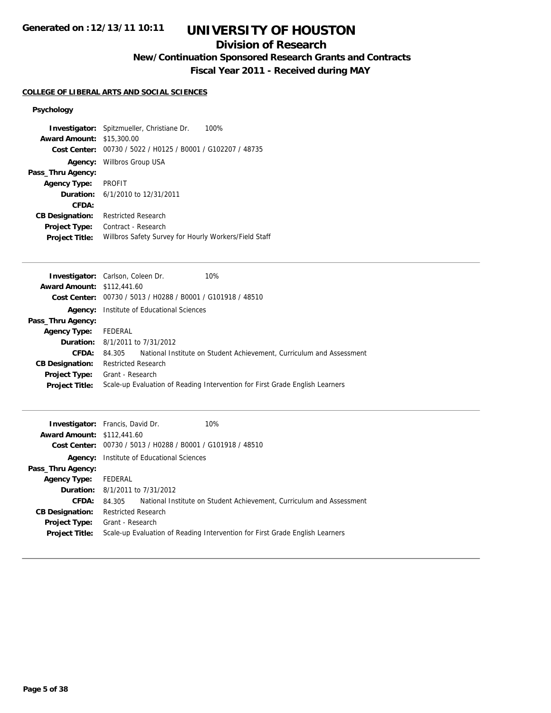## **Division of Research**

**New/Continuation Sponsored Research Grants and Contracts**

**Fiscal Year 2011 - Received during MAY**

## **COLLEGE OF LIBERAL ARTS AND SOCIAL SCIENCES**

## **Psychology**

| <b>Award Amount: \$15,300.00</b> | <b>Investigator:</b> Spitzmueller, Christiane Dr.<br>100%<br>Cost Center: 00730 / 5022 / H0125 / B0001 / G102207 / 48735 |
|----------------------------------|--------------------------------------------------------------------------------------------------------------------------|
| Agency:                          | Willbros Group USA                                                                                                       |
| Pass_Thru Agency:                |                                                                                                                          |
| <b>Agency Type:</b>              | <b>PROFIT</b>                                                                                                            |
| Duration:                        | 6/1/2010 to 12/31/2011                                                                                                   |
| CFDA:                            |                                                                                                                          |
| <b>CB Designation:</b>           | <b>Restricted Research</b>                                                                                               |
| <b>Project Type:</b>             | Contract - Research                                                                                                      |
| <b>Project Title:</b>            | Willbros Safety Survey for Hourly Workers/Field Staff                                                                    |

|                                   | <b>Investigator:</b> Carlson, Coleen Dr.                    | 10%                                                                          |
|-----------------------------------|-------------------------------------------------------------|------------------------------------------------------------------------------|
| <b>Award Amount: \$112,441.60</b> |                                                             |                                                                              |
|                                   | Cost Center: 00730 / 5013 / H0288 / B0001 / G101918 / 48510 |                                                                              |
|                                   | <b>Agency:</b> Institute of Educational Sciences            |                                                                              |
| Pass_Thru Agency:                 |                                                             |                                                                              |
| <b>Agency Type:</b>               | FEDERAL                                                     |                                                                              |
|                                   | <b>Duration:</b> 8/1/2011 to 7/31/2012                      |                                                                              |
| CFDA:                             | 84.305                                                      | National Institute on Student Achievement, Curriculum and Assessment         |
| <b>CB Designation:</b>            | <b>Restricted Research</b>                                  |                                                                              |
| <b>Project Type:</b>              | Grant - Research                                            |                                                                              |
| <b>Project Title:</b>             |                                                             | Scale-up Evaluation of Reading Intervention for First Grade English Learners |
|                                   |                                                             |                                                                              |

|                                   | 10%<br><b>Investigator:</b> Francis, David Dr.                                 |
|-----------------------------------|--------------------------------------------------------------------------------|
| <b>Award Amount: \$112,441.60</b> |                                                                                |
|                                   | Cost Center: 00730 / 5013 / H0288 / B0001 / G101918 / 48510                    |
| Agency:                           | Institute of Educational Sciences                                              |
| Pass_Thru Agency:                 |                                                                                |
| <b>Agency Type:</b>               | FEDERAL                                                                        |
|                                   | <b>Duration:</b> 8/1/2011 to 7/31/2012                                         |
| <b>CFDA:</b>                      | National Institute on Student Achievement, Curriculum and Assessment<br>84.305 |
| <b>CB Designation:</b>            | <b>Restricted Research</b>                                                     |
| <b>Project Type:</b>              | Grant - Research                                                               |
| <b>Project Title:</b>             | Scale-up Evaluation of Reading Intervention for First Grade English Learners   |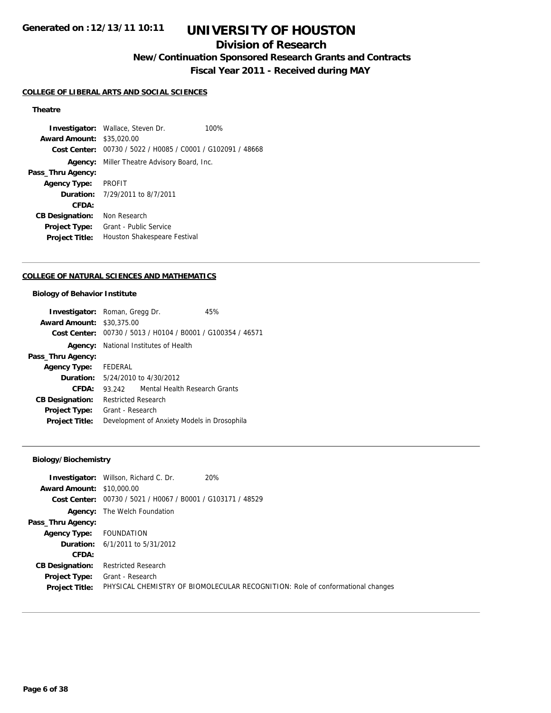## **UNIVERSITY OF HOUSTON**

## **Division of Research**

**New/Continuation Sponsored Research Grants and Contracts**

**Fiscal Year 2011 - Received during MAY**

### **COLLEGE OF LIBERAL ARTS AND SOCIAL SCIENCES**

## **Theatre**

**Investigator:** Wallace, Steven Dr. 100% **Award Amount:** \$35,020.00 **Cost Center:** 00730 / 5022 / H0085 / C0001 / G102091 / 48668 **Agency:** Miller Theatre Advisory Board, Inc. **Pass\_Thru Agency: Agency Type:** PROFIT **Duration:** 7/29/2011 to 8/7/2011 **CFDA: CB Designation:** Non Research **Project Type:** Grant - Public Service **Project Title:** Houston Shakespeare Festival

### **COLLEGE OF NATURAL SCIENCES AND MATHEMATICS**

#### **Biology of Behavior Institute**

| <b>Investigator:</b> Roman, Gregg Dr. |                                              |                                                             | 45% |
|---------------------------------------|----------------------------------------------|-------------------------------------------------------------|-----|
| <b>Award Amount: \$30,375,00</b>      |                                              |                                                             |     |
|                                       |                                              | Cost Center: 00730 / 5013 / H0104 / B0001 / G100354 / 46571 |     |
|                                       | <b>Agency:</b> National Institutes of Health |                                                             |     |
| Pass_Thru Agency:                     |                                              |                                                             |     |
| <b>Agency Type:</b>                   | FEDERAL                                      |                                                             |     |
|                                       | <b>Duration:</b> 5/24/2010 to 4/30/2012      |                                                             |     |
| CFDA:                                 | 93.242                                       | Mental Health Research Grants                               |     |
| <b>CB Designation:</b>                | <b>Restricted Research</b>                   |                                                             |     |
| Project Type:                         | Grant - Research                             |                                                             |     |
| <b>Project Title:</b>                 | Development of Anxiety Models in Drosophila  |                                                             |     |

## **Biology/Biochemistry**

|                                  | <b>Investigator:</b> Willson, Richard C. Dr.                | 20%                                                                            |
|----------------------------------|-------------------------------------------------------------|--------------------------------------------------------------------------------|
| <b>Award Amount: \$10,000.00</b> |                                                             |                                                                                |
|                                  | Cost Center: 00730 / 5021 / H0067 / B0001 / G103171 / 48529 |                                                                                |
|                                  | <b>Agency:</b> The Welch Foundation                         |                                                                                |
| Pass_Thru Agency:                |                                                             |                                                                                |
| <b>Agency Type:</b> FOUNDATION   |                                                             |                                                                                |
|                                  | <b>Duration:</b> 6/1/2011 to 5/31/2012                      |                                                                                |
| CFDA:                            |                                                             |                                                                                |
| <b>CB Designation:</b>           | <b>Restricted Research</b>                                  |                                                                                |
| <b>Project Type:</b>             | Grant - Research                                            |                                                                                |
| <b>Project Title:</b>            |                                                             | PHYSICAL CHEMISTRY OF BIOMOLECULAR RECOGNITION: Role of conformational changes |
|                                  |                                                             |                                                                                |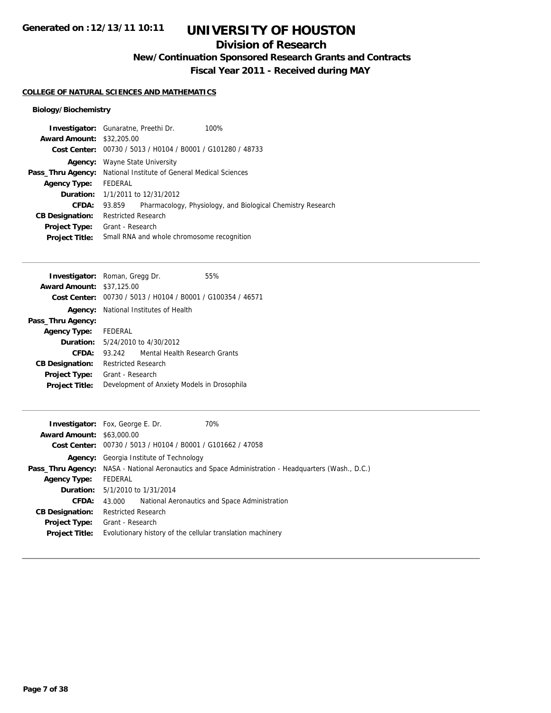## **Division of Research**

**New/Continuation Sponsored Research Grants and Contracts**

**Fiscal Year 2011 - Received during MAY**

### **COLLEGE OF NATURAL SCIENCES AND MATHEMATICS**

## **Biology/Biochemistry**

| <b>Investigator:</b> Gunaratne, Preethi Dr.<br>100%                   |  |  |
|-----------------------------------------------------------------------|--|--|
| <b>Award Amount: \$32,205.00</b>                                      |  |  |
| Cost Center: 00730 / 5013 / H0104 / B0001 / G101280 / 48733           |  |  |
| Wayne State University                                                |  |  |
| National Institute of General Medical Sciences                        |  |  |
| FEDERAL                                                               |  |  |
| <b>Duration:</b> 1/1/2011 to 12/31/2012                               |  |  |
| Pharmacology, Physiology, and Biological Chemistry Research<br>93.859 |  |  |
| <b>Restricted Research</b>                                            |  |  |
| Grant - Research                                                      |  |  |
| Small RNA and whole chromosome recognition                            |  |  |
|                                                                       |  |  |

| <b>Investigator:</b> Roman, Gregg Dr. |                                              |                                                             | 55% |
|---------------------------------------|----------------------------------------------|-------------------------------------------------------------|-----|
| <b>Award Amount: \$37,125.00</b>      |                                              |                                                             |     |
|                                       |                                              | Cost Center: 00730 / 5013 / H0104 / B0001 / G100354 / 46571 |     |
|                                       | <b>Agency:</b> National Institutes of Health |                                                             |     |
| Pass_Thru Agency:                     |                                              |                                                             |     |
| <b>Agency Type:</b> FEDERAL           |                                              |                                                             |     |
|                                       | <b>Duration:</b> 5/24/2010 to 4/30/2012      |                                                             |     |
| CFDA:                                 | 93.242                                       | Mental Health Research Grants                               |     |
| <b>CB Designation:</b>                | <b>Restricted Research</b>                   |                                                             |     |
| <b>Project Type:</b>                  | Grant - Research                             |                                                             |     |
| <b>Project Title:</b>                 | Development of Anxiety Models in Drosophila  |                                                             |     |

|                                  | 70%<br><b>Investigator:</b> Fox, George E. Dr.                                                             |
|----------------------------------|------------------------------------------------------------------------------------------------------------|
| <b>Award Amount: \$63,000.00</b> |                                                                                                            |
|                                  | Cost Center: 00730 / 5013 / H0104 / B0001 / G101662 / 47058                                                |
|                                  | <b>Agency:</b> Georgia Institute of Technology                                                             |
|                                  | <b>Pass_Thru Agency:</b> NASA - National Aeronautics and Space Administration - Headquarters (Wash., D.C.) |
| <b>Agency Type:</b>              | FEDERAL                                                                                                    |
|                                  | <b>Duration:</b> $5/1/2010$ to $1/31/2014$                                                                 |
| CFDA:                            | National Aeronautics and Space Administration<br>43.000                                                    |
| <b>CB Designation:</b>           | <b>Restricted Research</b>                                                                                 |
| Project Type:                    | Grant - Research                                                                                           |
| <b>Project Title:</b>            | Evolutionary history of the cellular translation machinery                                                 |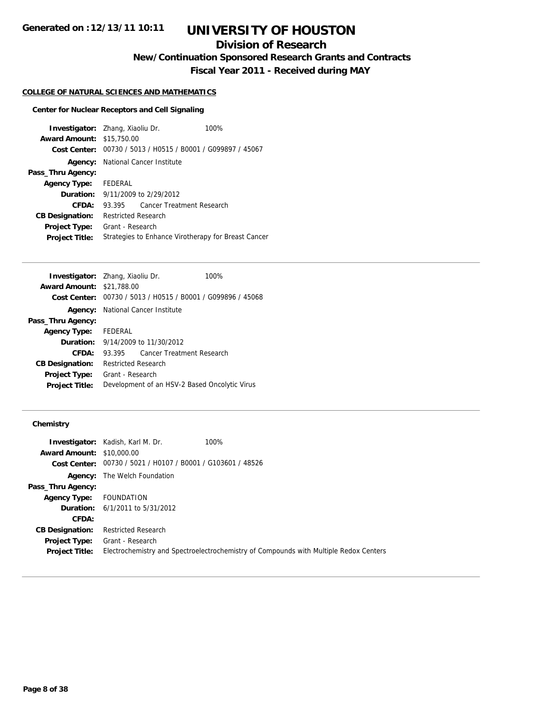## **Division of Research**

**New/Continuation Sponsored Research Grants and Contracts**

**Fiscal Year 2011 - Received during MAY**

## **COLLEGE OF NATURAL SCIENCES AND MATHEMATICS**

## **Center for Nuclear Receptors and Cell Signaling**

| <b>Investigator:</b> Zhang, Xiaoliu Dr. |                                                     |                                          | 100%                                                        |
|-----------------------------------------|-----------------------------------------------------|------------------------------------------|-------------------------------------------------------------|
| <b>Award Amount: \$15,750.00</b>        |                                                     |                                          |                                                             |
|                                         |                                                     |                                          | Cost Center: 00730 / 5013 / H0515 / B0001 / G099897 / 45067 |
|                                         |                                                     | <b>Agency:</b> National Cancer Institute |                                                             |
| Pass_Thru Agency:                       |                                                     |                                          |                                                             |
| <b>Agency Type:</b>                     | FEDERAL                                             |                                          |                                                             |
|                                         |                                                     | <b>Duration:</b> 9/11/2009 to 2/29/2012  |                                                             |
| CFDA:                                   | 93.395                                              |                                          | Cancer Treatment Research                                   |
| <b>CB Designation:</b>                  | <b>Restricted Research</b>                          |                                          |                                                             |
| <b>Project Type:</b>                    | Grant - Research                                    |                                          |                                                             |
| <b>Project Title:</b>                   | Strategies to Enhance Virotherapy for Breast Cancer |                                          |                                                             |

| <b>Investigator:</b> Zhang, Xiaoliu Dr. |                                               |                                                             | 100% |
|-----------------------------------------|-----------------------------------------------|-------------------------------------------------------------|------|
| <b>Award Amount: \$21,788.00</b>        |                                               |                                                             |      |
|                                         |                                               | Cost Center: 00730 / 5013 / H0515 / B0001 / G099896 / 45068 |      |
|                                         | <b>Agency:</b> National Cancer Institute      |                                                             |      |
| Pass_Thru Agency:                       |                                               |                                                             |      |
| <b>Agency Type:</b> FEDERAL             |                                               |                                                             |      |
|                                         | <b>Duration:</b> 9/14/2009 to 11/30/2012      |                                                             |      |
| CFDA:                                   |                                               | 93.395 Cancer Treatment Research                            |      |
| <b>CB Designation:</b>                  | <b>Restricted Research</b>                    |                                                             |      |
| <b>Project Type:</b>                    | Grant - Research                              |                                                             |      |
| <b>Project Title:</b>                   | Development of an HSV-2 Based Oncolytic Virus |                                                             |      |

|                                  | <b>Investigator:</b> Kadish, Karl M. Dr.                    | 100%                                                                                  |
|----------------------------------|-------------------------------------------------------------|---------------------------------------------------------------------------------------|
| <b>Award Amount: \$10,000.00</b> |                                                             |                                                                                       |
|                                  | Cost Center: 00730 / 5021 / H0107 / B0001 / G103601 / 48526 |                                                                                       |
|                                  | <b>Agency:</b> The Welch Foundation                         |                                                                                       |
| Pass_Thru Agency:                |                                                             |                                                                                       |
| Agency Type:                     | FOUNDATION                                                  |                                                                                       |
|                                  | <b>Duration:</b> $6/1/2011$ to $5/31/2012$                  |                                                                                       |
| CFDA:                            |                                                             |                                                                                       |
| <b>CB Designation:</b>           | Restricted Research                                         |                                                                                       |
| Project Type:                    | Grant - Research                                            |                                                                                       |
| <b>Project Title:</b>            |                                                             | Electrochemistry and Spectroelectrochemistry of Compounds with Multiple Redox Centers |
|                                  |                                                             |                                                                                       |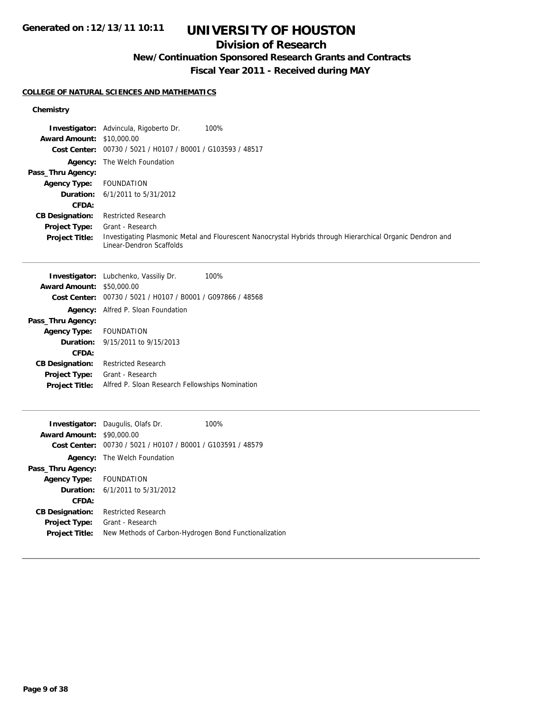# **UNIVERSITY OF HOUSTON**

## **Division of Research**

**New/Continuation Sponsored Research Grants and Contracts**

**Fiscal Year 2011 - Received during MAY**

## **COLLEGE OF NATURAL SCIENCES AND MATHEMATICS**

|                                  | <b>Investigator:</b> Advincula, Rigoberto Dr.<br>100%                                                                                  |
|----------------------------------|----------------------------------------------------------------------------------------------------------------------------------------|
| <b>Award Amount: \$10,000.00</b> |                                                                                                                                        |
|                                  | Cost Center: 00730 / 5021 / H0107 / B0001 / G103593 / 48517                                                                            |
|                                  | <b>Agency:</b> The Welch Foundation                                                                                                    |
| Pass_Thru Agency:                |                                                                                                                                        |
| <b>Agency Type:</b>              | FOUNDATION                                                                                                                             |
|                                  | <b>Duration:</b> $6/1/2011$ to $5/31/2012$                                                                                             |
| <b>CFDA:</b>                     |                                                                                                                                        |
| <b>CB Designation:</b>           | <b>Restricted Research</b>                                                                                                             |
| <b>Project Type:</b>             | Grant - Research                                                                                                                       |
| <b>Project Title:</b>            | Investigating Plasmonic Metal and Flourescent Nanocrystal Hybrids through Hierarchical Organic Dendron and<br>Linear-Dendron Scaffolds |

|                                  | <b>Investigator:</b> Lubchenko, Vassiliy Dr.<br>100%        |
|----------------------------------|-------------------------------------------------------------|
| <b>Award Amount: \$50,000.00</b> |                                                             |
|                                  | Cost Center: 00730 / 5021 / H0107 / B0001 / G097866 / 48568 |
|                                  | <b>Agency:</b> Alfred P. Sloan Foundation                   |
| Pass_Thru Agency:                |                                                             |
| Agency Type: FOUNDATION          |                                                             |
|                                  | <b>Duration:</b> 9/15/2011 to 9/15/2013                     |
| CFDA:                            |                                                             |
| <b>CB Designation:</b>           | Restricted Research                                         |
| <b>Project Type:</b>             | Grant - Research                                            |
| <b>Project Title:</b>            | Alfred P. Sloan Research Fellowships Nomination             |
|                                  |                                                             |

|                         | <b>Investigator:</b> Daugulis, Olafs Dr.                    | 100% |
|-------------------------|-------------------------------------------------------------|------|
| <b>Award Amount:</b>    | \$90,000.00                                                 |      |
|                         | Cost Center: 00730 / 5021 / H0107 / B0001 / G103591 / 48579 |      |
|                         | <b>Agency:</b> The Welch Foundation                         |      |
| Pass_Thru Agency:       |                                                             |      |
| Agency Type: FOUNDATION |                                                             |      |
|                         | <b>Duration:</b> $6/1/2011$ to $5/31/2012$                  |      |
| CFDA:                   |                                                             |      |
| <b>CB Designation:</b>  | <b>Restricted Research</b>                                  |      |
| <b>Project Type:</b>    | Grant - Research                                            |      |
| <b>Project Title:</b>   | New Methods of Carbon-Hydrogen Bond Functionalization       |      |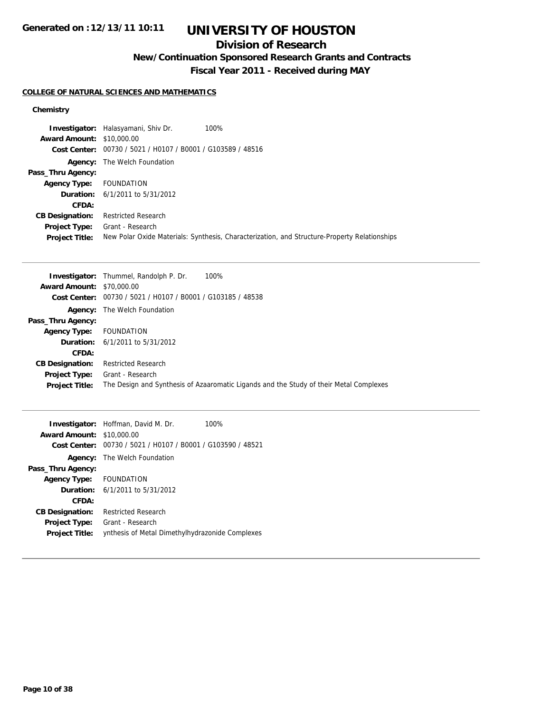# **UNIVERSITY OF HOUSTON**

## **Division of Research**

**New/Continuation Sponsored Research Grants and Contracts**

**Fiscal Year 2011 - Received during MAY**

## **COLLEGE OF NATURAL SCIENCES AND MATHEMATICS**

|                                  | <b>Investigator:</b> Halasyamani, Shiv Dr.                  | 100%                                                                                         |
|----------------------------------|-------------------------------------------------------------|----------------------------------------------------------------------------------------------|
| <b>Award Amount: \$10,000.00</b> |                                                             |                                                                                              |
|                                  | Cost Center: 00730 / 5021 / H0107 / B0001 / G103589 / 48516 |                                                                                              |
| Agency:                          | The Welch Foundation                                        |                                                                                              |
| Pass_Thru Agency:                |                                                             |                                                                                              |
| <b>Agency Type:</b> FOUNDATION   |                                                             |                                                                                              |
|                                  | <b>Duration:</b> 6/1/2011 to 5/31/2012                      |                                                                                              |
| CFDA:                            |                                                             |                                                                                              |
| <b>CB Designation:</b>           | <b>Restricted Research</b>                                  |                                                                                              |
| Project Type:                    | Grant - Research                                            |                                                                                              |
| <b>Project Title:</b>            |                                                             | New Polar Oxide Materials: Synthesis, Characterization, and Structure-Property Relationships |

|                                  | 100%<br><b>Investigator:</b> Thummel, Randolph P. Dr.                                  |
|----------------------------------|----------------------------------------------------------------------------------------|
| <b>Award Amount: \$70,000.00</b> |                                                                                        |
|                                  | Cost Center: 00730 / 5021 / H0107 / B0001 / G103185 / 48538                            |
|                                  | <b>Agency:</b> The Welch Foundation                                                    |
| Pass_Thru Agency:                |                                                                                        |
| <b>Agency Type:</b>              | <b>FOUNDATION</b>                                                                      |
|                                  | <b>Duration:</b> $6/1/2011$ to $5/31/2012$                                             |
| CFDA:                            |                                                                                        |
| <b>CB Designation:</b>           | <b>Restricted Research</b>                                                             |
| <b>Project Type:</b>             | Grant - Research                                                                       |
| <b>Project Title:</b>            | The Design and Synthesis of Azaaromatic Ligands and the Study of their Metal Complexes |

|                                  | <b>Investigator:</b> Hoffman, David M. Dr.<br>100%          |
|----------------------------------|-------------------------------------------------------------|
| <b>Award Amount: \$10,000.00</b> |                                                             |
|                                  | Cost Center: 00730 / 5021 / H0107 / B0001 / G103590 / 48521 |
|                                  | <b>Agency:</b> The Welch Foundation                         |
| Pass_Thru Agency:                |                                                             |
| <b>Agency Type:</b>              | FOUNDATION                                                  |
|                                  | <b>Duration:</b> $6/1/2011$ to $5/31/2012$                  |
| CFDA:                            |                                                             |
| <b>CB Designation:</b>           | <b>Restricted Research</b>                                  |
| <b>Project Type:</b>             | Grant - Research                                            |
| <b>Project Title:</b>            | ynthesis of Metal Dimethylhydrazonide Complexes             |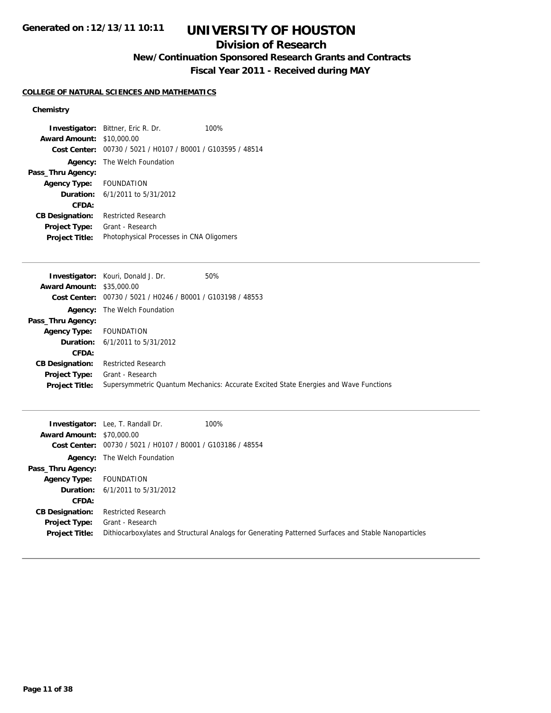# **UNIVERSITY OF HOUSTON**

## **Division of Research**

**New/Continuation Sponsored Research Grants and Contracts**

**Fiscal Year 2011 - Received during MAY**

## **COLLEGE OF NATURAL SCIENCES AND MATHEMATICS**

| Investigator:<br><b>Award Amount:</b><br><b>Cost Center:</b><br>Agency: | Bittner, Eric R. Dr.<br>\$10,000.00<br>00730 / 5021 / H0107 / B0001 / G103595 / 48514<br>The Welch Foundation | 100% |  |
|-------------------------------------------------------------------------|---------------------------------------------------------------------------------------------------------------|------|--|
| Pass_Thru Agency:                                                       |                                                                                                               |      |  |
| <b>Agency Type:</b>                                                     | <b>FOUNDATION</b>                                                                                             |      |  |
| <b>Duration:</b>                                                        | 6/1/2011 to 5/31/2012                                                                                         |      |  |
| CFDA:                                                                   |                                                                                                               |      |  |
| <b>CB Designation:</b>                                                  | <b>Restricted Research</b>                                                                                    |      |  |
| Project Type:                                                           | Grant - Research                                                                                              |      |  |
| <b>Project Title:</b>                                                   | Photophysical Processes in CNA Oligomers                                                                      |      |  |
|                                                                         |                                                                                                               |      |  |
| Investigator:                                                           | Kouri, Donald J. Dr.                                                                                          | 50%  |  |
| <b>Award Amount:</b>                                                    | \$35,000.00                                                                                                   |      |  |
| <b>Cost Center:</b>                                                     | 00730 / 5021 / H0246 / B0001 / G103198 / 48553                                                                |      |  |
| Agency:                                                                 | The Welch Foundation                                                                                          |      |  |

|                                | <b>003L 001ILCI.</b> 007007 002T7 H02T07 D000T7 0100T707 T0000                       |
|--------------------------------|--------------------------------------------------------------------------------------|
|                                | <b>Agency:</b> The Welch Foundation                                                  |
| Pass_Thru Agency:              |                                                                                      |
| <b>Agency Type:</b> FOUNDATION |                                                                                      |
|                                | <b>Duration:</b> $6/1/2011$ to $5/31/2012$                                           |
| CFDA:                          |                                                                                      |
| <b>CB Designation:</b>         | Restricted Research                                                                  |
| <b>Project Type:</b>           | Grant - Research                                                                     |
| <b>Project Title:</b>          | Supersymmetric Quantum Mechanics: Accurate Excited State Energies and Wave Functions |
|                                |                                                                                      |

|                                  | <b>Investigator:</b> Lee, T. Randall Dr.                    | 100%                                                                                                 |
|----------------------------------|-------------------------------------------------------------|------------------------------------------------------------------------------------------------------|
| <b>Award Amount: \$70,000.00</b> |                                                             |                                                                                                      |
|                                  | Cost Center: 00730 / 5021 / H0107 / B0001 / G103186 / 48554 |                                                                                                      |
|                                  | <b>Agency:</b> The Welch Foundation                         |                                                                                                      |
| Pass_Thru Agency:                |                                                             |                                                                                                      |
| <b>Agency Type:</b>              | FOUNDATION                                                  |                                                                                                      |
|                                  | <b>Duration:</b> 6/1/2011 to 5/31/2012                      |                                                                                                      |
| CFDA:                            |                                                             |                                                                                                      |
| <b>CB Designation:</b>           | <b>Restricted Research</b>                                  |                                                                                                      |
| Project Type:                    | Grant - Research                                            |                                                                                                      |
| <b>Project Title:</b>            |                                                             | Dithiocarboxylates and Structural Analogs for Generating Patterned Surfaces and Stable Nanoparticles |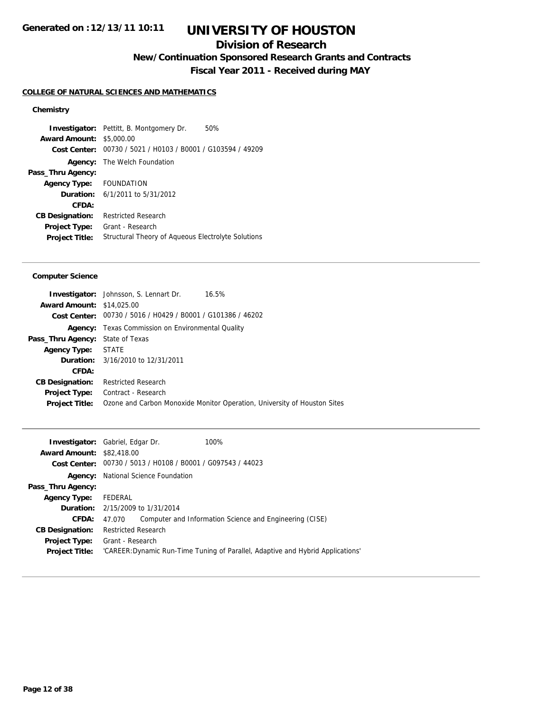## **Division of Research**

**New/Continuation Sponsored Research Grants and Contracts**

**Fiscal Year 2011 - Received during MAY**

### **COLLEGE OF NATURAL SCIENCES AND MATHEMATICS**

## **Chemistry**

**Investigator:** Pettitt, B. Montgomery Dr. 50% **Award Amount:** \$5,000.00 **Cost Center:** 00730 / 5021 / H0103 / B0001 / G103594 / 49209 **Agency:** The Welch Foundation **Pass\_Thru Agency: Agency Type:** FOUNDATION **Duration:** 6/1/2011 to 5/31/2012 **CFDA: CB Designation:** Restricted Research **Project Type:** Grant - Research **Project Title:** Structural Theory of Aqueous Electrolyte Solutions

### **Computer Science**

|                                         | <b>Investigator:</b> Johnsson, S. Lennart Dr.<br>16.5%                   |
|-----------------------------------------|--------------------------------------------------------------------------|
| <b>Award Amount: \$14,025,00</b>        |                                                                          |
|                                         | Cost Center: 00730 / 5016 / H0429 / B0001 / G101386 / 46202              |
|                                         | <b>Agency:</b> Texas Commission on Environmental Quality                 |
| <b>Pass_Thru Agency:</b> State of Texas |                                                                          |
| <b>Agency Type: STATE</b>               |                                                                          |
|                                         | <b>Duration:</b> 3/16/2010 to 12/31/2011                                 |
| CFDA:                                   |                                                                          |
| <b>CB Designation:</b>                  | <b>Restricted Research</b>                                               |
| <b>Project Type:</b>                    | Contract - Research                                                      |
| <b>Project Title:</b>                   | Ozone and Carbon Monoxide Monitor Operation, University of Houston Sites |
|                                         |                                                                          |

| <b>Investigator:</b> Gabriel, Edgar Dr. |                                                                                 |                                                             | 100%                                                    |
|-----------------------------------------|---------------------------------------------------------------------------------|-------------------------------------------------------------|---------------------------------------------------------|
| <b>Award Amount: \$82,418.00</b>        |                                                                                 |                                                             |                                                         |
|                                         |                                                                                 | Cost Center: 00730 / 5013 / H0108 / B0001 / G097543 / 44023 |                                                         |
| Agency:                                 | National Science Foundation                                                     |                                                             |                                                         |
| Pass_Thru Agency:                       |                                                                                 |                                                             |                                                         |
| <b>Agency Type:</b>                     | FEDERAL                                                                         |                                                             |                                                         |
|                                         | <b>Duration:</b> 2/15/2009 to 1/31/2014                                         |                                                             |                                                         |
| CFDA:                                   | 47.070                                                                          |                                                             | Computer and Information Science and Engineering (CISE) |
| <b>CB Designation:</b>                  | <b>Restricted Research</b>                                                      |                                                             |                                                         |
| <b>Project Type:</b>                    | Grant - Research                                                                |                                                             |                                                         |
| <b>Project Title:</b>                   | 'CAREER: Dynamic Run-Time Tuning of Parallel, Adaptive and Hybrid Applications' |                                                             |                                                         |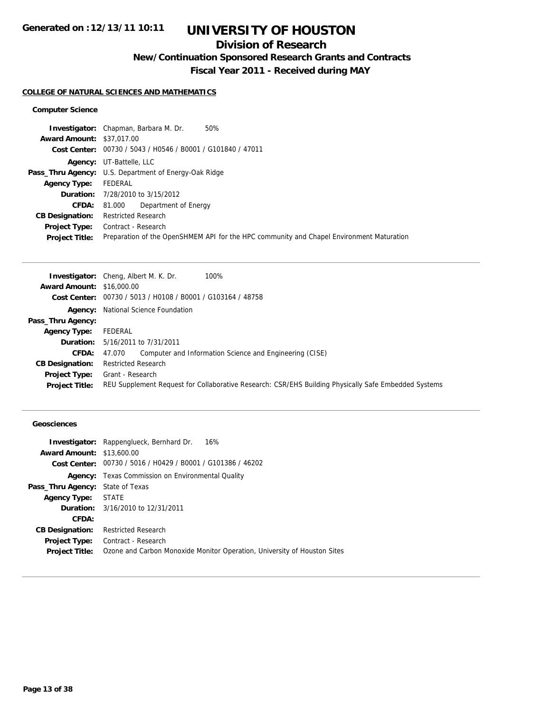## **Division of Research**

**New/Continuation Sponsored Research Grants and Contracts**

**Fiscal Year 2011 - Received during MAY**

### **COLLEGE OF NATURAL SCIENCES AND MATHEMATICS**

## **Computer Science**

| 50%<br><b>Investigator:</b> Chapman, Barbara M. Dr.                                      |
|------------------------------------------------------------------------------------------|
| <b>Award Amount: \$37,017,00</b>                                                         |
| Cost Center: 00730 / 5043 / H0546 / B0001 / G101840 / 47011                              |
| <b>Agency:</b> UT-Battelle, LLC                                                          |
| <b>Pass_Thru Agency:</b> U.S. Department of Energy-Oak Ridge                             |
| FEDERAL                                                                                  |
| <b>Duration:</b> 7/28/2010 to 3/15/2012                                                  |
| Department of Energy<br>81.000                                                           |
| <b>Restricted Research</b>                                                               |
| Contract - Research                                                                      |
| Preparation of the OpenSHMEM API for the HPC community and Chapel Environment Maturation |
|                                                                                          |

|                                  | <b>Investigator:</b> Cheng, Albert M. K. Dr.<br>100%                                                 |
|----------------------------------|------------------------------------------------------------------------------------------------------|
| <b>Award Amount: \$16,000.00</b> |                                                                                                      |
|                                  | Cost Center: 00730 / 5013 / H0108 / B0001 / G103164 / 48758                                          |
|                                  | <b>Agency:</b> National Science Foundation                                                           |
| Pass_Thru Agency:                |                                                                                                      |
| <b>Agency Type:</b>              | FEDERAL                                                                                              |
|                                  | <b>Duration:</b> 5/16/2011 to 7/31/2011                                                              |
| CFDA:                            | Computer and Information Science and Engineering (CISE)<br>47.070                                    |
| <b>CB Designation:</b>           | <b>Restricted Research</b>                                                                           |
| Project Type:                    | Grant - Research                                                                                     |
| <b>Project Title:</b>            | REU Supplement Request for Collaborative Research: CSR/EHS Building Physically Safe Embedded Systems |

## **Geosciences**

|                                         | <b>Investigator:</b> Rappenglueck, Bernhard Dr.<br>16%                   |
|-----------------------------------------|--------------------------------------------------------------------------|
| <b>Award Amount: \$13,600.00</b>        |                                                                          |
|                                         | Cost Center: 00730 / 5016 / H0429 / B0001 / G101386 / 46202              |
|                                         | <b>Agency:</b> Texas Commission on Environmental Quality                 |
| <b>Pass_Thru Agency:</b> State of Texas |                                                                          |
| Agency Type: STATE                      |                                                                          |
|                                         | <b>Duration:</b> 3/16/2010 to 12/31/2011                                 |
| <b>CFDA:</b>                            |                                                                          |
| <b>CB Designation:</b>                  | <b>Restricted Research</b>                                               |
| <b>Project Type:</b>                    | Contract - Research                                                      |
| <b>Project Title:</b>                   | Ozone and Carbon Monoxide Monitor Operation, University of Houston Sites |
|                                         |                                                                          |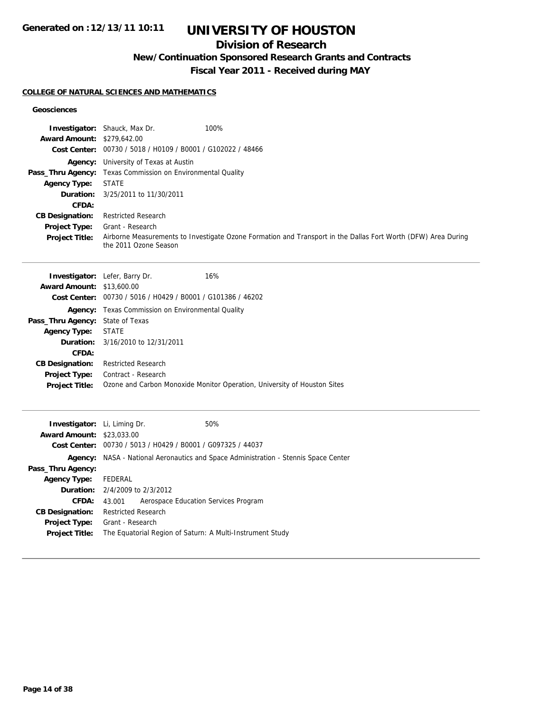# **UNIVERSITY OF HOUSTON**

## **Division of Research**

**New/Continuation Sponsored Research Grants and Contracts**

**Fiscal Year 2011 - Received during MAY**

### **COLLEGE OF NATURAL SCIENCES AND MATHEMATICS**

### **Geosciences**

| Award Amount: \$279,642.00<br><b>Agency Type:</b><br>Duration:<br>CFDA:<br><b>CB Designation:</b><br><b>Project Type:</b><br><b>Project Title:</b>                                                     | Investigator: Shauck, Max Dr.<br>100%<br>Cost Center: 00730 / 5018 / H0109 / B0001 / G102022 / 48466<br>Agency: University of Texas at Austin<br>Pass_Thru Agency: Texas Commission on Environmental Quality<br><b>STATE</b><br>3/25/2011 to 11/30/2011<br><b>Restricted Research</b><br>Grant - Research<br>Airborne Measurements to Investigate Ozone Formation and Transport in the Dallas Fort Worth (DFW) Area During<br>the 2011 Ozone Season |
|--------------------------------------------------------------------------------------------------------------------------------------------------------------------------------------------------------|-----------------------------------------------------------------------------------------------------------------------------------------------------------------------------------------------------------------------------------------------------------------------------------------------------------------------------------------------------------------------------------------------------------------------------------------------------|
| <b>Award Amount: \$13,600.00</b><br>Pass_Thru Agency: State of Texas<br><b>Agency Type:</b><br>Duration:<br>CFDA:<br><b>CB Designation:</b><br>Project Type:<br>Project Title:                         | 16%<br>Investigator: Lefer, Barry Dr.<br>Cost Center: 00730 / 5016 / H0429 / B0001 / G101386 / 46202<br><b>Agency:</b> Texas Commission on Environmental Quality<br><b>STATE</b><br>3/16/2010 to 12/31/2011<br><b>Restricted Research</b><br>Contract - Research<br>Ozone and Carbon Monoxide Monitor Operation, University of Houston Sites                                                                                                        |
| Investigator: Li, Liming Dr.<br><b>Award Amount: \$23,033,00</b><br>Pass_Thru Agency:<br><b>Agency Type:</b><br>Duration:<br>CFDA:<br><b>CB Designation:</b><br>Project Type:<br><b>Project Title:</b> | 50%<br>Cost Center: 00730 / 5013 / H0429 / B0001 / G097325 / 44037<br>Agency: NASA - National Aeronautics and Space Administration - Stennis Space Center<br><b>FEDERAL</b><br>2/4/2009 to 2/3/2012<br>Aerospace Education Services Program<br>43.001<br><b>Restricted Research</b><br>Grant - Research<br>The Equatorial Region of Saturn: A Multi-Instrument Study                                                                                |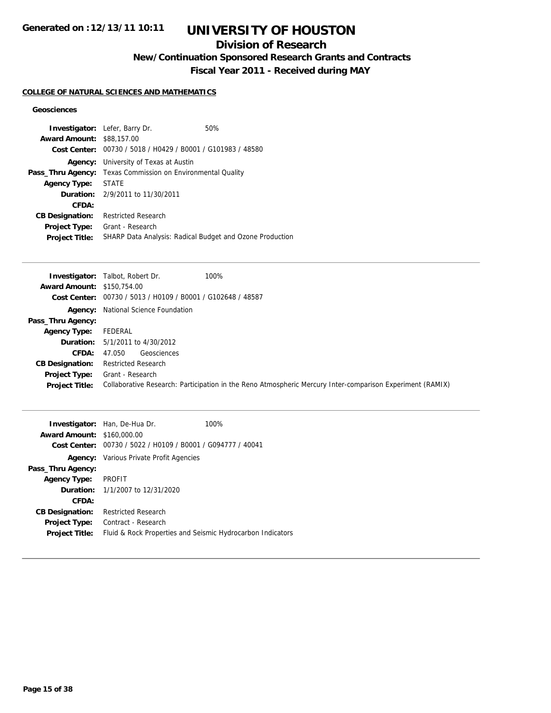# **UNIVERSITY OF HOUSTON**

## **Division of Research**

**New/Continuation Sponsored Research Grants and Contracts**

**Fiscal Year 2011 - Received during MAY**

## **COLLEGE OF NATURAL SCIENCES AND MATHEMATICS**

## **Geosciences**

| <b>Award Amount: \$88,157,00</b> | <b>Investigator:</b> Lefer, Barry Dr.<br>Cost Center: 00730 / 5018 / H0429 / B0001 / G101983 / 48580 | 50%                                                             |
|----------------------------------|------------------------------------------------------------------------------------------------------|-----------------------------------------------------------------|
| Agency:                          | University of Texas at Austin                                                                        |                                                                 |
|                                  | <b>Pass_Thru Agency:</b> Texas Commission on Environmental Quality                                   |                                                                 |
| Agency Type:                     | <b>STATE</b>                                                                                         |                                                                 |
|                                  | <b>Duration:</b> 2/9/2011 to 11/30/2011                                                              |                                                                 |
| CFDA:                            |                                                                                                      |                                                                 |
| <b>CB Designation:</b>           | <b>Restricted Research</b>                                                                           |                                                                 |
| Project Type:                    | Grant - Research                                                                                     |                                                                 |
| <b>Project Title:</b>            |                                                                                                      | <b>SHARP Data Analysis: Radical Budget and Ozone Production</b> |

|                                   | 100%<br><b>Investigator:</b> Talbot, Robert Dr.                                                           |
|-----------------------------------|-----------------------------------------------------------------------------------------------------------|
| <b>Award Amount: \$150.754.00</b> |                                                                                                           |
|                                   | Cost Center: 00730 / 5013 / H0109 / B0001 / G102648 / 48587                                               |
|                                   | <b>Agency:</b> National Science Foundation                                                                |
| Pass_Thru Agency:                 |                                                                                                           |
| <b>Agency Type:</b>               | FEDERAL                                                                                                   |
|                                   | <b>Duration:</b> 5/1/2011 to 4/30/2012                                                                    |
| <b>CFDA:</b>                      | Geosciences<br>47.050                                                                                     |
| <b>CB Designation:</b>            | <b>Restricted Research</b>                                                                                |
| <b>Project Type:</b>              | Grant - Research                                                                                          |
| <b>Project Title:</b>             | Collaborative Research: Participation in the Reno Atmospheric Mercury Inter-comparison Experiment (RAMIX) |

|                                   | <b>Investigator:</b> Han, De-Hua Dr.                        | 100% |
|-----------------------------------|-------------------------------------------------------------|------|
| <b>Award Amount: \$160,000.00</b> |                                                             |      |
|                                   | Cost Center: 00730 / 5022 / H0109 / B0001 / G094777 / 40041 |      |
|                                   | <b>Agency:</b> Various Private Profit Agencies              |      |
| Pass_Thru Agency:                 |                                                             |      |
| <b>Agency Type:</b>               | PROFIT                                                      |      |
|                                   | <b>Duration:</b> $1/1/2007$ to $12/31/2020$                 |      |
| CFDA:                             |                                                             |      |
| <b>CB Designation:</b>            | <b>Restricted Research</b>                                  |      |
| Project Type:                     | Contract - Research                                         |      |
| <b>Project Title:</b>             | Fluid & Rock Properties and Seismic Hydrocarbon Indicators  |      |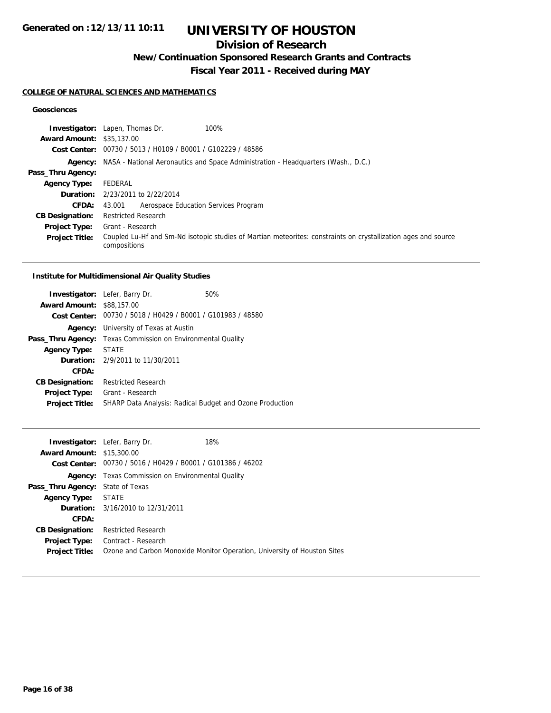# **UNIVERSITY OF HOUSTON**

## **Division of Research**

**New/Continuation Sponsored Research Grants and Contracts**

**Fiscal Year 2011 - Received during MAY**

## **COLLEGE OF NATURAL SCIENCES AND MATHEMATICS**

## **Geosciences**

|                                  | <b>Investigator:</b> Lapen, Thomas Dr.<br>100%                                                                                 |
|----------------------------------|--------------------------------------------------------------------------------------------------------------------------------|
| <b>Award Amount: \$35,137.00</b> |                                                                                                                                |
|                                  | Cost Center: 00730 / 5013 / H0109 / B0001 / G102229 / 48586                                                                    |
|                                  | <b>Agency:</b> NASA - National Aeronautics and Space Administration - Headquarters (Wash., D.C.)                               |
| Pass_Thru Agency:                |                                                                                                                                |
| <b>Agency Type:</b>              | FEDERAL                                                                                                                        |
|                                  | <b>Duration:</b> 2/23/2011 to 2/22/2014                                                                                        |
| <b>CFDA:</b>                     | Aerospace Education Services Program<br>43.001                                                                                 |
| <b>CB Designation:</b>           | <b>Restricted Research</b>                                                                                                     |
| <b>Project Type:</b>             | Grant - Research                                                                                                               |
| <b>Project Title:</b>            | Coupled Lu-Hf and Sm-Nd isotopic studies of Martian meteorites: constraints on crystallization ages and source<br>compositions |

### **Institute for Multidimensional Air Quality Studies**

|                                  | <b>Investigator:</b> Lefer, Barry Dr.                       | 50% |
|----------------------------------|-------------------------------------------------------------|-----|
| <b>Award Amount: \$88,157.00</b> |                                                             |     |
|                                  | Cost Center: 00730 / 5018 / H0429 / B0001 / G101983 / 48580 |     |
| Agency:                          | University of Texas at Austin                               |     |
| Pass_Thru Agency:                | Texas Commission on Environmental Quality                   |     |
| <b>Agency Type:</b>              | <b>STATE</b>                                                |     |
|                                  | <b>Duration:</b> 2/9/2011 to 11/30/2011                     |     |
| CFDA:                            |                                                             |     |
| <b>CB Designation:</b>           | <b>Restricted Research</b>                                  |     |
| Project Type:                    | Grant - Research                                            |     |
| <b>Project Title:</b>            | SHARP Data Analysis: Radical Budget and Ozone Production    |     |
|                                  |                                                             |     |

|                                         | 18%<br><b>Investigator:</b> Lefer, Barry Dr.                             |
|-----------------------------------------|--------------------------------------------------------------------------|
| <b>Award Amount: \$15,300.00</b>        |                                                                          |
|                                         | Cost Center: 00730 / 5016 / H0429 / B0001 / G101386 / 46202              |
|                                         | <b>Agency:</b> Texas Commission on Environmental Quality                 |
| <b>Pass_Thru Agency:</b> State of Texas |                                                                          |
| <b>Agency Type: STATE</b>               |                                                                          |
|                                         | <b>Duration:</b> 3/16/2010 to 12/31/2011                                 |
| CFDA:                                   |                                                                          |
| <b>CB Designation:</b>                  | <b>Restricted Research</b>                                               |
| <b>Project Type:</b>                    | Contract - Research                                                      |
| <b>Project Title:</b>                   | Ozone and Carbon Monoxide Monitor Operation, University of Houston Sites |
|                                         |                                                                          |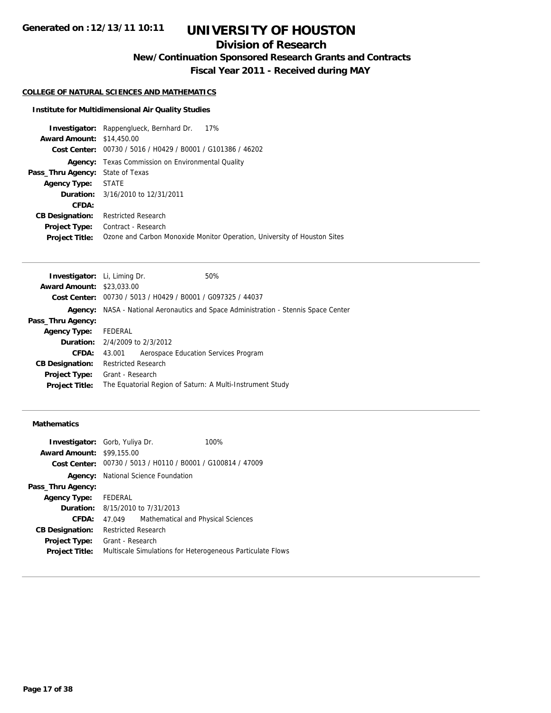## **Division of Research**

**New/Continuation Sponsored Research Grants and Contracts**

**Fiscal Year 2011 - Received during MAY**

## **COLLEGE OF NATURAL SCIENCES AND MATHEMATICS**

### **Institute for Multidimensional Air Quality Studies**

|                                         | <b>Investigator:</b> Rappenglueck, Bernhard Dr.<br>17%                   |
|-----------------------------------------|--------------------------------------------------------------------------|
| <b>Award Amount: \$14,450.00</b>        |                                                                          |
|                                         | Cost Center: 00730 / 5016 / H0429 / B0001 / G101386 / 46202              |
|                                         | <b>Agency:</b> Texas Commission on Environmental Quality                 |
| <b>Pass_Thru Agency:</b> State of Texas |                                                                          |
| <b>Agency Type: STATE</b>               |                                                                          |
|                                         | <b>Duration:</b> 3/16/2010 to 12/31/2011                                 |
| CFDA:                                   |                                                                          |
| <b>CB Designation:</b>                  | <b>Restricted Research</b>                                               |
| <b>Project Type:</b>                    | Contract - Research                                                      |
| <b>Project Title:</b>                   | Ozone and Carbon Monoxide Monitor Operation, University of Houston Sites |
|                                         |                                                                          |

| <b>Investigator:</b> Li, Liming Dr.       |                            |                                                             | 50%                                                                                 |
|-------------------------------------------|----------------------------|-------------------------------------------------------------|-------------------------------------------------------------------------------------|
| <b>Award Amount: \$23,033,00</b>          |                            |                                                             |                                                                                     |
|                                           |                            | Cost Center: 00730 / 5013 / H0429 / B0001 / G097325 / 44037 |                                                                                     |
|                                           |                            |                                                             | Agency: NASA - National Aeronautics and Space Administration - Stennis Space Center |
| Pass_Thru Agency:                         |                            |                                                             |                                                                                     |
| <b>Agency Type:</b>                       | FEDERAL                    |                                                             |                                                                                     |
| <b>Duration:</b> $2/4/2009$ to $2/3/2012$ |                            |                                                             |                                                                                     |
| CFDA:                                     | 43.001                     | Aerospace Education Services Program                        |                                                                                     |
| <b>CB Designation:</b>                    | <b>Restricted Research</b> |                                                             |                                                                                     |
| <b>Project Type:</b>                      | Grant - Research           |                                                             |                                                                                     |
| <b>Project Title:</b>                     |                            |                                                             | The Equatorial Region of Saturn: A Multi-Instrument Study                           |
|                                           |                            |                                                             |                                                                                     |

## **Mathematics**

| <b>Investigator:</b> Gorb, Yuliya Dr. |                            |                                                             | 100%                                                       |
|---------------------------------------|----------------------------|-------------------------------------------------------------|------------------------------------------------------------|
| <b>Award Amount: \$99,155.00</b>      |                            |                                                             |                                                            |
|                                       |                            | Cost Center: 00730 / 5013 / H0110 / B0001 / G100814 / 47009 |                                                            |
|                                       |                            | <b>Agency:</b> National Science Foundation                  |                                                            |
| Pass_Thru Agency:                     |                            |                                                             |                                                            |
| <b>Agency Type:</b>                   | FEDERAL                    |                                                             |                                                            |
|                                       |                            | <b>Duration:</b> 8/15/2010 to 7/31/2013                     |                                                            |
| CFDA:                                 | 47.049                     | Mathematical and Physical Sciences                          |                                                            |
| <b>CB Designation:</b>                | <b>Restricted Research</b> |                                                             |                                                            |
| <b>Project Type:</b>                  | Grant - Research           |                                                             |                                                            |
| <b>Project Title:</b>                 |                            |                                                             | Multiscale Simulations for Heterogeneous Particulate Flows |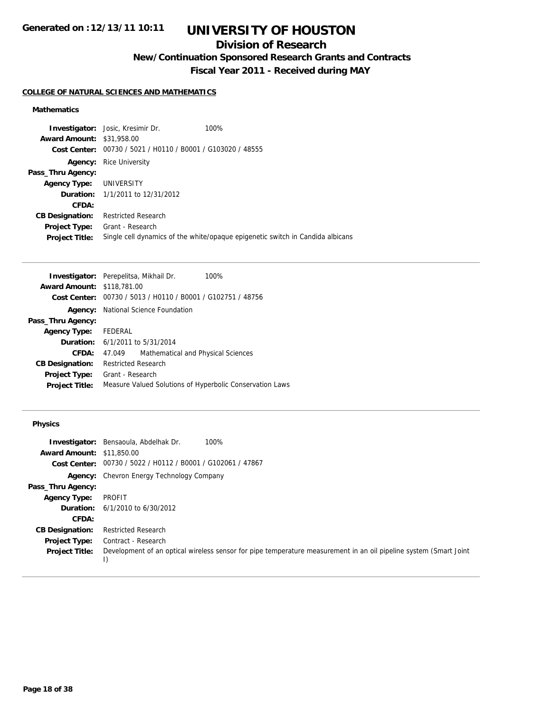# **UNIVERSITY OF HOUSTON**

## **Division of Research**

**New/Continuation Sponsored Research Grants and Contracts**

**Fiscal Year 2011 - Received during MAY**

## **COLLEGE OF NATURAL SCIENCES AND MATHEMATICS**

## **Mathematics**

| <b>Investigator:</b> Josic, Kresimir Dr.       | 100%                                                                           |
|------------------------------------------------|--------------------------------------------------------------------------------|
| <b>Award Amount: \$31,958.00</b>               |                                                                                |
| 00730 / 5021 / H0110 / B0001 / G103020 / 48555 |                                                                                |
| <b>Rice University</b>                         |                                                                                |
|                                                |                                                                                |
| UNIVERSITY                                     |                                                                                |
| <b>Duration:</b> 1/1/2011 to 12/31/2012        |                                                                                |
|                                                |                                                                                |
| <b>Restricted Research</b>                     |                                                                                |
| Grant - Research                               |                                                                                |
|                                                | Single cell dynamics of the white/opaque epigenetic switch in Candida albicans |
|                                                |                                                                                |

|                                   | <b>Investigator:</b> Perepelitsa, Mikhail Dr.<br>100%       |  |  |
|-----------------------------------|-------------------------------------------------------------|--|--|
| <b>Award Amount: \$118,781.00</b> |                                                             |  |  |
|                                   | Cost Center: 00730 / 5013 / H0110 / B0001 / G102751 / 48756 |  |  |
| Agency:                           | National Science Foundation                                 |  |  |
| Pass_Thru Agency:                 |                                                             |  |  |
| Agency Type:                      | FEDERAL                                                     |  |  |
|                                   | <b>Duration:</b> 6/1/2011 to 5/31/2014                      |  |  |
| CFDA:                             | Mathematical and Physical Sciences<br>47.049                |  |  |
| <b>CB Designation:</b>            | <b>Restricted Research</b>                                  |  |  |
| <b>Project Type:</b>              | Grant - Research                                            |  |  |
| <b>Project Title:</b>             | Measure Valued Solutions of Hyperbolic Conservation Laws    |  |  |

## **Physics**

|                                  | 100%<br><b>Investigator:</b> Bensaoula, Abdelhak Dr.                                                                    |
|----------------------------------|-------------------------------------------------------------------------------------------------------------------------|
| <b>Award Amount: \$11,850.00</b> |                                                                                                                         |
|                                  | Cost Center: 00730 / 5022 / H0112 / B0001 / G102061 / 47867                                                             |
|                                  | <b>Agency:</b> Chevron Energy Technology Company                                                                        |
| Pass_Thru Agency:                |                                                                                                                         |
| <b>Agency Type:</b>              | <b>PROFIT</b>                                                                                                           |
| Duration:                        | 6/1/2010 to 6/30/2012                                                                                                   |
| CFDA:                            |                                                                                                                         |
| <b>CB Designation:</b>           | <b>Restricted Research</b>                                                                                              |
| <b>Project Type:</b>             | Contract - Research                                                                                                     |
| <b>Project Title:</b>            | Development of an optical wireless sensor for pipe temperature measurement in an oil pipeline system (Smart Joint<br>I) |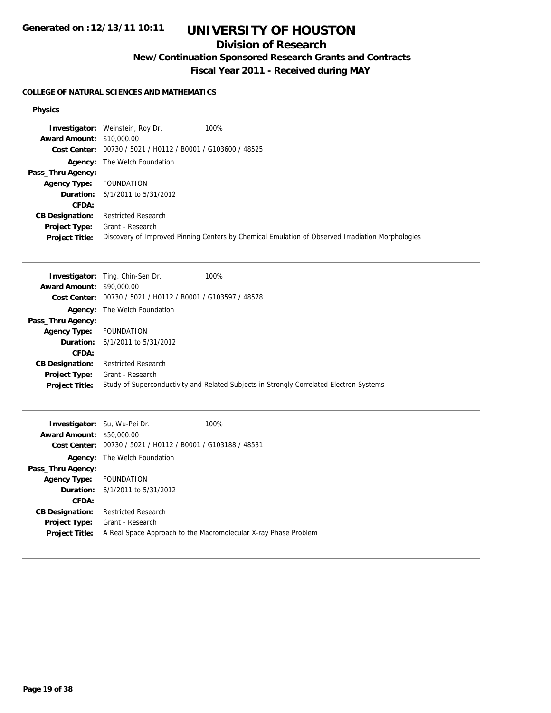# **UNIVERSITY OF HOUSTON**

## **Division of Research**

**New/Continuation Sponsored Research Grants and Contracts**

**Fiscal Year 2011 - Received during MAY**

## **COLLEGE OF NATURAL SCIENCES AND MATHEMATICS**

### **Physics**

|                                  | <b>Investigator:</b> Weinstein, Roy Dr.                     | 100%                                                                                             |
|----------------------------------|-------------------------------------------------------------|--------------------------------------------------------------------------------------------------|
| <b>Award Amount: \$10,000.00</b> |                                                             |                                                                                                  |
|                                  | Cost Center: 00730 / 5021 / H0112 / B0001 / G103600 / 48525 |                                                                                                  |
|                                  | <b>Agency:</b> The Welch Foundation                         |                                                                                                  |
| Pass_Thru Agency:                |                                                             |                                                                                                  |
| <b>Agency Type:</b>              | FOUNDATION                                                  |                                                                                                  |
|                                  | <b>Duration:</b> $6/1/2011$ to $5/31/2012$                  |                                                                                                  |
| CFDA:                            |                                                             |                                                                                                  |
| <b>CB Designation:</b>           | <b>Restricted Research</b>                                  |                                                                                                  |
| Project Type:                    | Grant - Research                                            |                                                                                                  |
| <b>Project Title:</b>            |                                                             | Discovery of Improved Pinning Centers by Chemical Emulation of Observed Irradiation Morphologies |

|                                  | <b>Investigator:</b> Ting, Chin-Sen Dr.                     | 100%                                                                                    |
|----------------------------------|-------------------------------------------------------------|-----------------------------------------------------------------------------------------|
| <b>Award Amount: \$90,000.00</b> |                                                             |                                                                                         |
|                                  | Cost Center: 00730 / 5021 / H0112 / B0001 / G103597 / 48578 |                                                                                         |
|                                  | <b>Agency:</b> The Welch Foundation                         |                                                                                         |
| Pass_Thru Agency:                |                                                             |                                                                                         |
| <b>Agency Type:</b>              | <b>FOUNDATION</b>                                           |                                                                                         |
|                                  | <b>Duration:</b> $6/1/2011$ to $5/31/2012$                  |                                                                                         |
| CFDA:                            |                                                             |                                                                                         |
| <b>CB Designation:</b>           | <b>Restricted Research</b>                                  |                                                                                         |
| Project Type:                    | Grant - Research                                            |                                                                                         |
| <b>Project Title:</b>            |                                                             | Study of Superconductivity and Related Subjects in Strongly Correlated Electron Systems |

| <b>Investigator:</b> Su, Wu-Pei Dr.<br><b>Award Amount:</b><br>Cost Center: | \$50,000.00<br>00730 / 5021 / H0112 / B0001 / G103188 / 48531 | 100%                                                            |
|-----------------------------------------------------------------------------|---------------------------------------------------------------|-----------------------------------------------------------------|
|                                                                             | <b>Agency:</b> The Welch Foundation                           |                                                                 |
| Pass_Thru Agency:                                                           |                                                               |                                                                 |
| Agency Type: FOUNDATION                                                     |                                                               |                                                                 |
|                                                                             | <b>Duration:</b> $6/1/2011$ to $5/31/2012$                    |                                                                 |
| CFDA:                                                                       |                                                               |                                                                 |
| <b>CB Designation:</b>                                                      | <b>Restricted Research</b>                                    |                                                                 |
| Project Type:                                                               | Grant - Research                                              |                                                                 |
| <b>Project Title:</b>                                                       |                                                               | A Real Space Approach to the Macromolecular X-ray Phase Problem |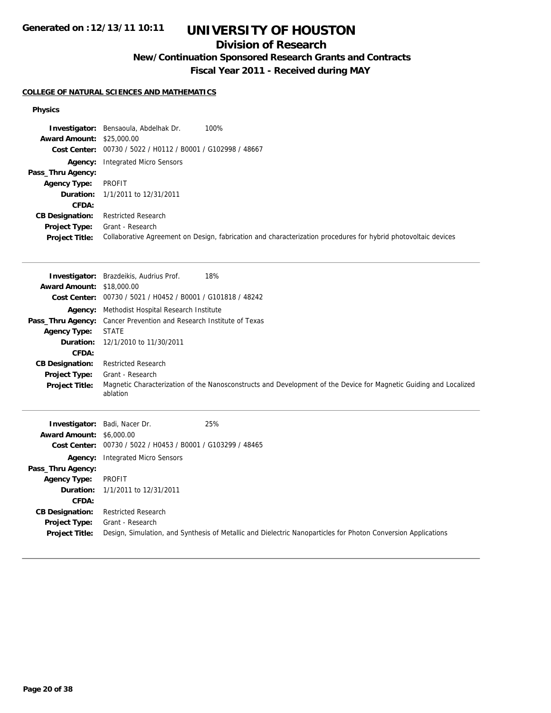# **UNIVERSITY OF HOUSTON**

## **Division of Research**

**New/Continuation Sponsored Research Grants and Contracts**

**Fiscal Year 2011 - Received during MAY**

## **COLLEGE OF NATURAL SCIENCES AND MATHEMATICS**

### **Physics**

|                                  | 100%<br><b>Investigator:</b> Bensaoula, Abdelhak Dr.                                                           |
|----------------------------------|----------------------------------------------------------------------------------------------------------------|
| <b>Award Amount: \$25,000.00</b> |                                                                                                                |
|                                  | Cost Center: 00730 / 5022 / H0112 / B0001 / G102998 / 48667                                                    |
|                                  | <b>Agency:</b> Integrated Micro Sensors                                                                        |
| Pass_Thru Agency:                |                                                                                                                |
| <b>Agency Type:</b>              | PROFIT                                                                                                         |
|                                  | <b>Duration:</b> 1/1/2011 to 12/31/2011                                                                        |
| CFDA:                            |                                                                                                                |
| <b>CB Designation:</b>           | <b>Restricted Research</b>                                                                                     |
| Project Type:                    | Grant - Research                                                                                               |
| <b>Project Title:</b>            | Collaborative Agreement on Design, fabrication and characterization procedures for hybrid photovoltaic devices |

|                                  | <b>Investigator:</b> Brazdeikis, Audrius Prof.<br>18%                                                                         |
|----------------------------------|-------------------------------------------------------------------------------------------------------------------------------|
| <b>Award Amount: \$18,000.00</b> |                                                                                                                               |
|                                  | Cost Center: 00730 / 5021 / H0452 / B0001 / G101818 / 48242                                                                   |
|                                  | Agency: Methodist Hospital Research Institute                                                                                 |
|                                  | <b>Pass_Thru Agency:</b> Cancer Prevention and Research Institute of Texas                                                    |
| <b>Agency Type:</b>              | <b>STATE</b>                                                                                                                  |
|                                  | <b>Duration:</b> 12/1/2010 to 11/30/2011                                                                                      |
| CFDA:                            |                                                                                                                               |
| <b>CB Designation:</b>           | <b>Restricted Research</b>                                                                                                    |
| <b>Project Type:</b>             | Grant - Research                                                                                                              |
| <b>Project Title:</b>            | Magnetic Characterization of the Nanosconstructs and Development of the Device for Magnetic Guiding and Localized<br>ablation |
|                                  |                                                                                                                               |

|                                 | <b>Investigator:</b> Badi, Nacer Dr.                        | 25%                                                                                                           |
|---------------------------------|-------------------------------------------------------------|---------------------------------------------------------------------------------------------------------------|
| <b>Award Amount: \$6,000.00</b> |                                                             |                                                                                                               |
|                                 | Cost Center: 00730 / 5022 / H0453 / B0001 / G103299 / 48465 |                                                                                                               |
| Agency:                         | Integrated Micro Sensors                                    |                                                                                                               |
| Pass_Thru Agency:               |                                                             |                                                                                                               |
| <b>Agency Type:</b>             | PROFIT                                                      |                                                                                                               |
|                                 | <b>Duration:</b> 1/1/2011 to 12/31/2011                     |                                                                                                               |
| CFDA:                           |                                                             |                                                                                                               |
| <b>CB Designation:</b>          | <b>Restricted Research</b>                                  |                                                                                                               |
| Project Type:                   | Grant - Research                                            |                                                                                                               |
| <b>Project Title:</b>           |                                                             | Design, Simulation, and Synthesis of Metallic and Dielectric Nanoparticles for Photon Conversion Applications |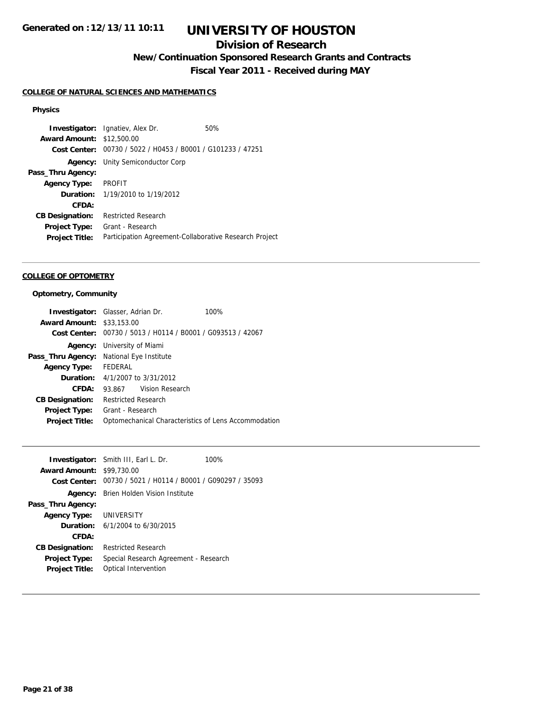## **Division of Research**

**New/Continuation Sponsored Research Grants and Contracts**

**Fiscal Year 2011 - Received during MAY**

## **COLLEGE OF NATURAL SCIENCES AND MATHEMATICS**

### **Physics**

**Investigator:** Ignatiev, Alex Dr. 60% **Award Amount:** \$12,500.00 **Cost Center:** 00730 / 5022 / H0453 / B0001 / G101233 / 47251 **Agency:** Unity Semiconductor Corp **Pass\_Thru Agency: Agency Type:** PROFIT **Duration:** 1/19/2010 to 1/19/2012 **CFDA: CB Designation:** Restricted Research **Project Type:** Grant - Research **Project Title:** Participation Agreement-Collaborative Research Project

### **COLLEGE OF OPTOMETRY**

#### **Optometry, Community**

| <b>Investigator:</b> Glasser, Adrian Dr. |                                        |                 | 100%                                                        |
|------------------------------------------|----------------------------------------|-----------------|-------------------------------------------------------------|
| <b>Award Amount:</b>                     | \$33,153.00                            |                 |                                                             |
|                                          |                                        |                 | Cost Center: 00730 / 5013 / H0114 / B0001 / G093513 / 42067 |
|                                          | Agency: University of Miami            |                 |                                                             |
| Pass_Thru Agency:                        | National Eye Institute                 |                 |                                                             |
| Agency Type:                             | FEDERAL                                |                 |                                                             |
|                                          | <b>Duration:</b> 4/1/2007 to 3/31/2012 |                 |                                                             |
| CFDA:                                    | 93.867                                 | Vision Research |                                                             |
| <b>CB Designation:</b>                   | <b>Restricted Research</b>             |                 |                                                             |
| Project Type:                            | Grant - Research                       |                 |                                                             |
| <b>Project Title:</b>                    |                                        |                 | Optomechanical Characteristics of Lens Accommodation        |

|                                  | <b>Investigator:</b> Smith III, Earl L. Dr.                 | 100% |
|----------------------------------|-------------------------------------------------------------|------|
| <b>Award Amount: \$99,730.00</b> |                                                             |      |
|                                  | Cost Center: 00730 / 5021 / H0114 / B0001 / G090297 / 35093 |      |
|                                  | <b>Agency:</b> Brien Holden Vision Institute                |      |
| Pass_Thru Agency:                |                                                             |      |
| <b>Agency Type: UNIVERSITY</b>   |                                                             |      |
|                                  | <b>Duration:</b> $6/1/2004$ to $6/30/2015$                  |      |
| CFDA:                            |                                                             |      |
| <b>CB Designation:</b>           | <b>Restricted Research</b>                                  |      |
| <b>Project Type:</b>             | Special Research Agreement - Research                       |      |
| <b>Project Title:</b>            | Optical Intervention                                        |      |
|                                  |                                                             |      |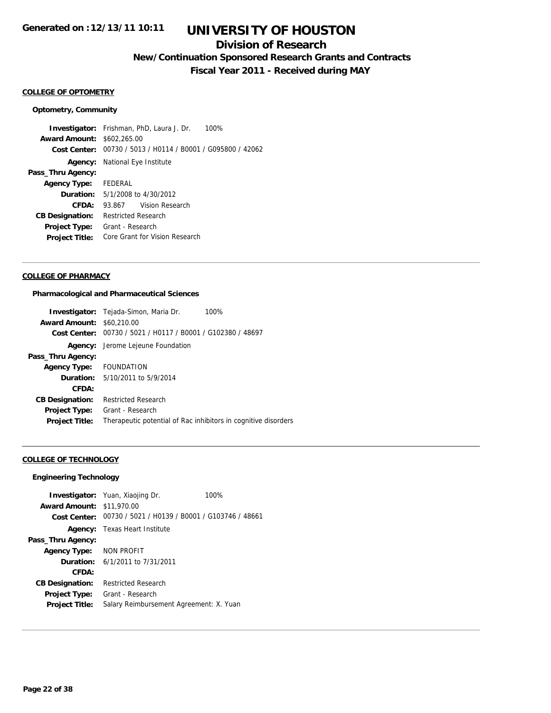## **Division of Research**

**New/Continuation Sponsored Research Grants and Contracts**

**Fiscal Year 2011 - Received during MAY**

#### **COLLEGE OF OPTOMETRY**

### **Optometry, Community**

**Investigator:** Frishman, PhD, Laura J. Dr. 100% **Award Amount:** \$602,265.00 **Cost Center:** 00730 / 5013 / H0114 / B0001 / G095800 / 42062 **Agency:** National Eye Institute **Pass\_Thru Agency: Agency Type:** FEDERAL **Duration:** 5/1/2008 to 4/30/2012 **CFDA:** 93.867 Vision Research **CB Designation:** Restricted Research **Project Type:** Grant - Research **Project Title:** Core Grant for Vision Research

## **COLLEGE OF PHARMACY**

### **Pharmacological and Pharmaceutical Sciences**

|                                  | <b>Investigator:</b> Tejada-Simon, Maria Dr.<br>100%           |
|----------------------------------|----------------------------------------------------------------|
| <b>Award Amount: \$60,210.00</b> |                                                                |
|                                  | Cost Center: 00730 / 5021 / H0117 / B0001 / G102380 / 48697    |
|                                  | Agency: Jerome Lejeune Foundation                              |
| Pass_Thru Agency:                |                                                                |
| Agency Type: FOUNDATION          |                                                                |
|                                  | <b>Duration:</b> 5/10/2011 to 5/9/2014                         |
| CFDA:                            |                                                                |
| <b>CB Designation:</b>           | <b>Restricted Research</b>                                     |
| Project Type:                    | Grant - Research                                               |
| <b>Project Title:</b>            | Therapeutic potential of Rac inhibitors in cognitive disorders |

### **COLLEGE OF TECHNOLOGY**

#### **Engineering Technology**

|                                  | <b>Investigator:</b> Yuan, Xiaojing Dr.                     | 100% |
|----------------------------------|-------------------------------------------------------------|------|
| <b>Award Amount: \$11,970.00</b> |                                                             |      |
|                                  | Cost Center: 00730 / 5021 / H0139 / B0001 / G103746 / 48661 |      |
|                                  | <b>Agency:</b> Texas Heart Institute                        |      |
| Pass_Thru Agency:                |                                                             |      |
| Agency Type: NON PROFIT          |                                                             |      |
|                                  | <b>Duration:</b> 6/1/2011 to 7/31/2011                      |      |
| CFDA:                            |                                                             |      |
| <b>CB Designation:</b>           | Restricted Research                                         |      |
| <b>Project Type:</b>             | Grant - Research                                            |      |
| <b>Project Title:</b>            | Salary Reimbursement Agreement: X. Yuan                     |      |
|                                  |                                                             |      |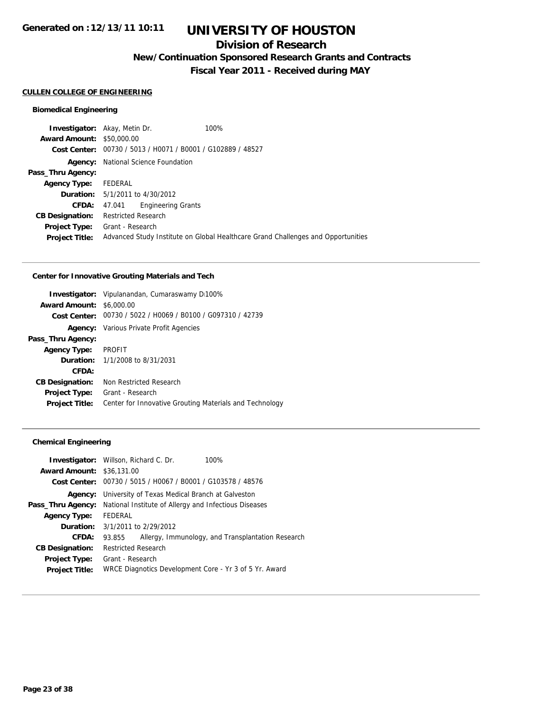## **Division of Research**

**New/Continuation Sponsored Research Grants and Contracts**

**Fiscal Year 2011 - Received during MAY**

#### **CULLEN COLLEGE OF ENGINEERING**

## **Biomedical Engineering**

|                                  | <b>Investigator:</b> Akay, Metin Dr.   | 100%                                                                             |
|----------------------------------|----------------------------------------|----------------------------------------------------------------------------------|
| <b>Award Amount: \$50,000.00</b> |                                        |                                                                                  |
|                                  |                                        | Cost Center: 00730 / 5013 / H0071 / B0001 / G102889 / 48527                      |
| Agency:                          | National Science Foundation            |                                                                                  |
| Pass_Thru Agency:                |                                        |                                                                                  |
| <b>Agency Type:</b>              | FEDERAL                                |                                                                                  |
|                                  | <b>Duration:</b> 5/1/2011 to 4/30/2012 |                                                                                  |
| CFDA:                            | <b>Engineering Grants</b><br>47.041    |                                                                                  |
| <b>CB Designation:</b>           | <b>Restricted Research</b>             |                                                                                  |
| <b>Project Type:</b>             | Grant - Research                       |                                                                                  |
| <b>Project Title:</b>            |                                        | Advanced Study Institute on Global Healthcare Grand Challenges and Opportunities |
|                                  |                                        |                                                                                  |

### **Center for Innovative Grouting Materials and Tech**

| <b>Award Amount:</b>   | <b>Investigator:</b> Vipulanandan, Cumaraswamy D100%<br>\$6,000.00 |
|------------------------|--------------------------------------------------------------------|
|                        | Cost Center: 00730 / 5022 / H0069 / B0100 / G097310 / 42739        |
|                        |                                                                    |
|                        | <b>Agency:</b> Various Private Profit Agencies                     |
| Pass_Thru Agency:      |                                                                    |
| <b>Agency Type:</b>    | PROFIT                                                             |
|                        | <b>Duration:</b> 1/1/2008 to 8/31/2031                             |
| CFDA:                  |                                                                    |
| <b>CB Designation:</b> | Non Restricted Research                                            |
| <b>Project Type:</b>   | Grant - Research                                                   |
| <b>Project Title:</b>  | Center for Innovative Grouting Materials and Technology            |

## **Chemical Engineering**

| <b>Investigator:</b> Willson, Richard C. Dr.                   | 100%                                              |
|----------------------------------------------------------------|---------------------------------------------------|
| <b>Award Amount:</b><br>\$36,131.00                            |                                                   |
| 00730 / 5015 / H0067 / B0001 / G103578 / 48576<br>Cost Center: |                                                   |
| University of Texas Medical Branch at Galveston                |                                                   |
| National Institute of Allergy and Infectious Diseases          |                                                   |
| FEDERAL                                                        |                                                   |
| 3/1/2011 to 2/29/2012                                          |                                                   |
| 93.855                                                         | Allergy, Immunology, and Transplantation Research |
| <b>Restricted Research</b>                                     |                                                   |
| Grant - Research                                               |                                                   |
| WRCE Diagnotics Development Core - Yr 3 of 5 Yr. Award         |                                                   |
|                                                                |                                                   |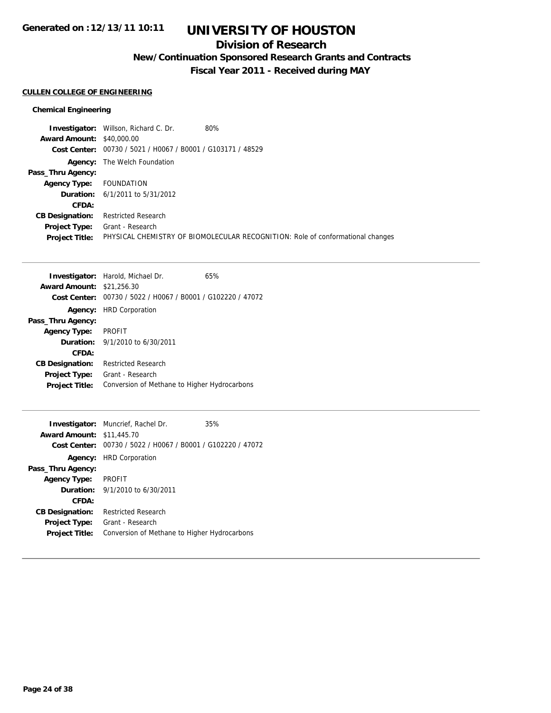# **UNIVERSITY OF HOUSTON**

## **Division of Research**

**New/Continuation Sponsored Research Grants and Contracts**

**Fiscal Year 2011 - Received during MAY**

## **CULLEN COLLEGE OF ENGINEERING**

## **Chemical Engineering**

|                                  | <b>Investigator:</b> Willson, Richard C. Dr.                | 80%                                                                            |
|----------------------------------|-------------------------------------------------------------|--------------------------------------------------------------------------------|
| <b>Award Amount: \$40,000.00</b> |                                                             |                                                                                |
|                                  | Cost Center: 00730 / 5021 / H0067 / B0001 / G103171 / 48529 |                                                                                |
|                                  | <b>Agency:</b> The Welch Foundation                         |                                                                                |
| Pass_Thru Agency:                |                                                             |                                                                                |
| <b>Agency Type:</b>              | FOUNDATION                                                  |                                                                                |
|                                  | <b>Duration:</b> $6/1/2011$ to $5/31/2012$                  |                                                                                |
| CFDA:                            |                                                             |                                                                                |
| <b>CB Designation:</b>           | <b>Restricted Research</b>                                  |                                                                                |
| <b>Project Type:</b>             | Grant - Research                                            |                                                                                |
| <b>Project Title:</b>            |                                                             | PHYSICAL CHEMISTRY OF BIOMOLECULAR RECOGNITION: Role of conformational changes |

|                                  | <b>Investigator:</b> Harold, Michael Dr.                    | 65% |
|----------------------------------|-------------------------------------------------------------|-----|
| <b>Award Amount: \$21,256.30</b> |                                                             |     |
|                                  | Cost Center: 00730 / 5022 / H0067 / B0001 / G102220 / 47072 |     |
| Agency:                          | <b>HRD Corporation</b>                                      |     |
| Pass_Thru Agency:                |                                                             |     |
| <b>Agency Type:</b>              | <b>PROFIT</b>                                               |     |
|                                  | <b>Duration:</b> $9/1/2010$ to 6/30/2011                    |     |
| CFDA:                            |                                                             |     |
| <b>CB Designation:</b>           | <b>Restricted Research</b>                                  |     |
| <b>Project Type:</b>             | Grant - Research                                            |     |
| <b>Project Title:</b>            | Conversion of Methane to Higher Hydrocarbons                |     |
|                                  |                                                             |     |

|                                  | <b>Investigator:</b> Muncrief, Rachel Dr.                   | 35% |
|----------------------------------|-------------------------------------------------------------|-----|
| <b>Award Amount: \$11,445.70</b> |                                                             |     |
|                                  | Cost Center: 00730 / 5022 / H0067 / B0001 / G102220 / 47072 |     |
|                                  | <b>Agency:</b> HRD Corporation                              |     |
| Pass_Thru Agency:                |                                                             |     |
| <b>Agency Type:</b>              | <b>PROFIT</b>                                               |     |
|                                  | <b>Duration:</b> $9/1/2010$ to 6/30/2011                    |     |
| CFDA:                            |                                                             |     |
| <b>CB Designation:</b>           | <b>Restricted Research</b>                                  |     |
| <b>Project Type:</b>             | Grant - Research                                            |     |
| <b>Project Title:</b>            | Conversion of Methane to Higher Hydrocarbons                |     |
|                                  |                                                             |     |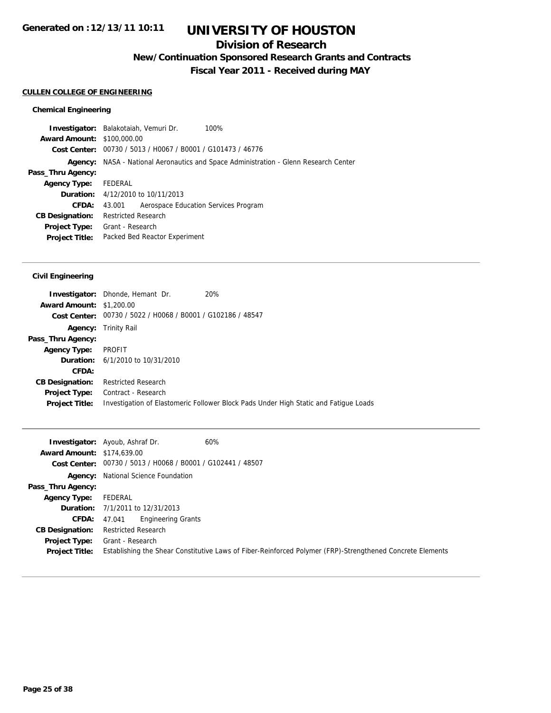## **Division of Research**

**New/Continuation Sponsored Research Grants and Contracts**

**Fiscal Year 2011 - Received during MAY**

## **CULLEN COLLEGE OF ENGINEERING**

## **Chemical Engineering**

| <b>Investigator:</b> Balakotaiah, Vemuri Dr. |                            |                                                             | 100%                                                                         |
|----------------------------------------------|----------------------------|-------------------------------------------------------------|------------------------------------------------------------------------------|
| <b>Award Amount: \$100,000.00</b>            |                            |                                                             |                                                                              |
|                                              |                            | Cost Center: 00730 / 5013 / H0067 / B0001 / G101473 / 46776 |                                                                              |
| Agency:                                      |                            |                                                             | NASA - National Aeronautics and Space Administration - Glenn Research Center |
| Pass_Thru Agency:                            |                            |                                                             |                                                                              |
| <b>Agency Type:</b>                          | FEDERAL                    |                                                             |                                                                              |
|                                              |                            | <b>Duration:</b> $4/12/2010$ to $10/11/2013$                |                                                                              |
| <b>CFDA:</b>                                 | 43.001                     | Aerospace Education Services Program                        |                                                                              |
| <b>CB Designation:</b>                       | <b>Restricted Research</b> |                                                             |                                                                              |
| <b>Project Type:</b> Grant - Research        |                            |                                                             |                                                                              |
| <b>Project Title:</b>                        |                            | Packed Bed Reactor Experiment                               |                                                                              |
|                                              |                            |                                                             |                                                                              |

## **Civil Engineering**

|                                 | 20%<br><b>Investigator:</b> Dhonde, Hemant Dr.                                       |
|---------------------------------|--------------------------------------------------------------------------------------|
| <b>Award Amount: \$1,200.00</b> |                                                                                      |
|                                 | Cost Center: 00730 / 5022 / H0068 / B0001 / G102186 / 48547                          |
|                                 | <b>Agency:</b> Trinity Rail                                                          |
| Pass_Thru Agency:               |                                                                                      |
| <b>Agency Type:</b>             | PROFIT                                                                               |
|                                 | <b>Duration:</b> 6/1/2010 to 10/31/2010                                              |
| CFDA:                           |                                                                                      |
| <b>CB Designation:</b>          | <b>Restricted Research</b>                                                           |
| <b>Project Type:</b>            | Contract - Research                                                                  |
| <b>Project Title:</b>           | Investigation of Elastomeric Follower Block Pads Under High Static and Fatigue Loads |
|                                 |                                                                                      |

|                                   | 60%<br><b>Investigator:</b> Ayoub, Ashraf Dr.                                                             |
|-----------------------------------|-----------------------------------------------------------------------------------------------------------|
| <b>Award Amount: \$174,639.00</b> |                                                                                                           |
|                                   | Cost Center: 00730 / 5013 / H0068 / B0001 / G102441 / 48507                                               |
|                                   | <b>Agency:</b> National Science Foundation                                                                |
| Pass_Thru Agency:                 |                                                                                                           |
| Agency Type:                      | FEDERAL                                                                                                   |
|                                   | <b>Duration:</b> 7/1/2011 to 12/31/2013                                                                   |
| CFDA:                             | Engineering Grants<br>47.041                                                                              |
| <b>CB Designation:</b>            | <b>Restricted Research</b>                                                                                |
| Project Type:                     | Grant - Research                                                                                          |
| <b>Project Title:</b>             | Establishing the Shear Constitutive Laws of Fiber-Reinforced Polymer (FRP)-Strengthened Concrete Elements |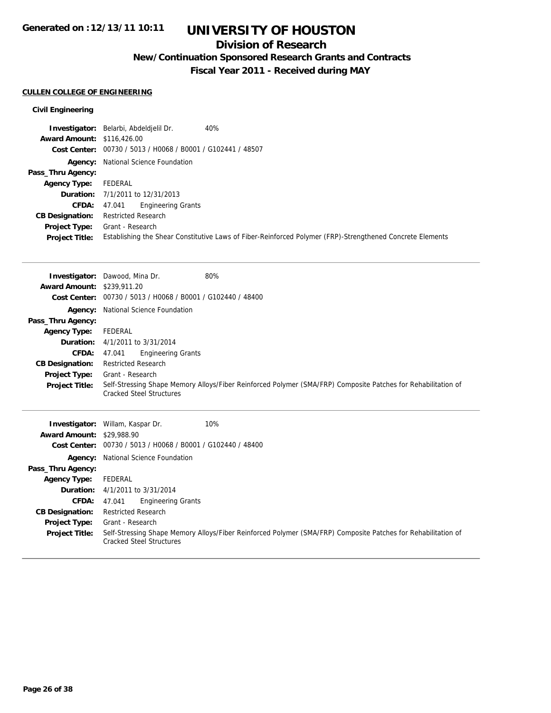## **Division of Research**

**New/Continuation Sponsored Research Grants and Contracts**

**Fiscal Year 2011 - Received during MAY**

#### **CULLEN COLLEGE OF ENGINEERING**

### **Civil Engineering**

|                                   | 40%<br>Investigator: Belarbi, Abdeldjelil Dr.                                                             |
|-----------------------------------|-----------------------------------------------------------------------------------------------------------|
| <b>Award Amount: \$116,426,00</b> |                                                                                                           |
|                                   | Cost Center: 00730 / 5013 / H0068 / B0001 / G102441 / 48507                                               |
|                                   | <b>Agency:</b> National Science Foundation                                                                |
| Pass_Thru Agency:                 |                                                                                                           |
| <b>Agency Type:</b>               | FEDERAL                                                                                                   |
|                                   | <b>Duration:</b> 7/1/2011 to 12/31/2013                                                                   |
| <b>CFDA:</b>                      | <b>Engineering Grants</b><br>47.041                                                                       |
| <b>CB Designation:</b>            | <b>Restricted Research</b>                                                                                |
| Project Type:                     | Grant - Research                                                                                          |
| <b>Project Title:</b>             | Establishing the Shear Constitutive Laws of Fiber-Reinforced Polymer (FRP)-Strengthened Concrete Elements |

|                                   | <b>Investigator:</b> Dawood, Mina Dr.          | 80%                                                                                                           |
|-----------------------------------|------------------------------------------------|---------------------------------------------------------------------------------------------------------------|
| <b>Award Amount: \$239,911.20</b> |                                                |                                                                                                               |
| <b>Cost Center:</b>               | 00730 / 5013 / H0068 / B0001 / G102440 / 48400 |                                                                                                               |
|                                   | Agency: National Science Foundation            |                                                                                                               |
| Pass_Thru Agency:                 |                                                |                                                                                                               |
| <b>Agency Type:</b>               | FEDERAL                                        |                                                                                                               |
| Duration:                         | 4/1/2011 to 3/31/2014                          |                                                                                                               |
| <b>CFDA:</b>                      | <b>Engineering Grants</b><br>47.041            |                                                                                                               |
| <b>CB Designation:</b>            | <b>Restricted Research</b>                     |                                                                                                               |
| Project Type:                     | Grant - Research                               |                                                                                                               |
| <b>Project Title:</b>             | <b>Cracked Steel Structures</b>                | Self-Stressing Shape Memory Alloys/Fiber Reinforced Polymer (SMA/FRP) Composite Patches for Rehabilitation of |
|                                   | <b>Investigator:</b> Willam, Kaspar Dr.        | 10%                                                                                                           |
| <b>Award Amount: \$29,988.90</b>  |                                                |                                                                                                               |
| Cost Center:                      | 00730 / 5013 / H0068 / B0001 / G102440 / 48400 |                                                                                                               |
|                                   |                                                |                                                                                                               |
|                                   | <b>Agency:</b> National Science Foundation     |                                                                                                               |
| Pass_Thru Agency:                 |                                                |                                                                                                               |
| <b>Agency Type:</b>               | FEDERAL                                        |                                                                                                               |

**CFDA:** 47.041 Engineering Grants **CB Designation:** Restricted Research **Project Type:** Grant - Research **Project Title:** Self-Stressing Shape Memory Alloys/Fiber Reinforced Polymer (SMA/FRP) Composite Patches for Rehabilitation of Cracked Steel Structures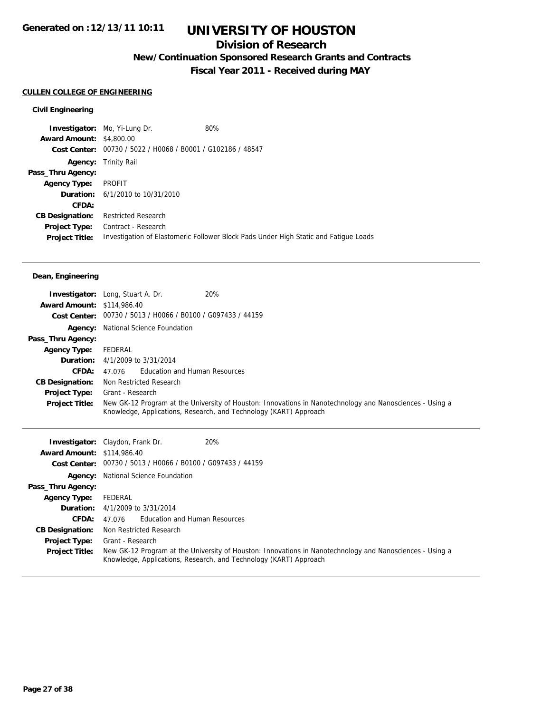## **Division of Research**

**New/Continuation Sponsored Research Grants and Contracts**

**Fiscal Year 2011 - Received during MAY**

## **CULLEN COLLEGE OF ENGINEERING**

## **Civil Engineering**

| <b>Award Amount: \$4,800.00</b><br>Cost Center: 00730 / 5022 / H0068 / B0001 / G102186 / 48547<br><b>Agency:</b> Trinity Rail<br>Pass_Thru Agency:<br>PROFIT<br><b>Agency Type:</b><br><b>Duration:</b> 6/1/2010 to 10/31/2010<br>CFDA:<br><b>Restricted Research</b><br><b>CB Designation:</b><br>Contract - Research<br><b>Project Type:</b><br>Investigation of Elastomeric Follower Block Pads Under High Static and Fatigue Loads<br><b>Project Title:</b> | <b>Investigator:</b> Mo, Yi-Lung Dr. | 80% |
|-----------------------------------------------------------------------------------------------------------------------------------------------------------------------------------------------------------------------------------------------------------------------------------------------------------------------------------------------------------------------------------------------------------------------------------------------------------------|--------------------------------------|-----|
|                                                                                                                                                                                                                                                                                                                                                                                                                                                                 |                                      |     |
|                                                                                                                                                                                                                                                                                                                                                                                                                                                                 |                                      |     |
|                                                                                                                                                                                                                                                                                                                                                                                                                                                                 |                                      |     |
|                                                                                                                                                                                                                                                                                                                                                                                                                                                                 |                                      |     |
|                                                                                                                                                                                                                                                                                                                                                                                                                                                                 |                                      |     |
|                                                                                                                                                                                                                                                                                                                                                                                                                                                                 |                                      |     |
|                                                                                                                                                                                                                                                                                                                                                                                                                                                                 |                                      |     |
|                                                                                                                                                                                                                                                                                                                                                                                                                                                                 |                                      |     |
|                                                                                                                                                                                                                                                                                                                                                                                                                                                                 |                                      |     |
|                                                                                                                                                                                                                                                                                                                                                                                                                                                                 |                                      |     |

## **Dean, Engineering**

|                                   | 20%<br><b>Investigator:</b> Long, Stuart A. Dr.                                                                                                                               |
|-----------------------------------|-------------------------------------------------------------------------------------------------------------------------------------------------------------------------------|
| <b>Award Amount: \$114,986.40</b> |                                                                                                                                                                               |
|                                   | Cost Center: 00730 / 5013 / H0066 / B0100 / G097433 / 44159                                                                                                                   |
|                                   | <b>Agency:</b> National Science Foundation                                                                                                                                    |
| Pass_Thru Agency:                 |                                                                                                                                                                               |
| <b>Agency Type:</b>               | FEDERAL                                                                                                                                                                       |
|                                   | <b>Duration:</b> $4/1/2009$ to $3/31/2014$                                                                                                                                    |
| CFDA:                             | Education and Human Resources<br>47.076                                                                                                                                       |
| <b>CB Designation:</b>            | Non Restricted Research                                                                                                                                                       |
| <b>Project Type:</b>              | Grant - Research                                                                                                                                                              |
| <b>Project Title:</b>             | New GK-12 Program at the University of Houston: Innovations in Nanotechnology and Nanosciences - Using a<br>Knowledge, Applications, Research, and Technology (KART) Approach |

|                                   | 20%<br><b>Investigator:</b> Claydon, Frank Dr.                                                                                                                                |
|-----------------------------------|-------------------------------------------------------------------------------------------------------------------------------------------------------------------------------|
| <b>Award Amount: \$114,986.40</b> |                                                                                                                                                                               |
|                                   | Cost Center: 00730 / 5013 / H0066 / B0100 / G097433 / 44159                                                                                                                   |
|                                   | <b>Agency:</b> National Science Foundation                                                                                                                                    |
| Pass_Thru Agency:                 |                                                                                                                                                                               |
| <b>Agency Type:</b>               | FEDERAL                                                                                                                                                                       |
|                                   | <b>Duration:</b> $4/1/2009$ to $3/31/2014$                                                                                                                                    |
| <b>CFDA:</b>                      | 47.076 Education and Human Resources                                                                                                                                          |
| <b>CB Designation:</b>            | Non Restricted Research                                                                                                                                                       |
| <b>Project Type:</b>              | Grant - Research                                                                                                                                                              |
| <b>Project Title:</b>             | New GK-12 Program at the University of Houston: Innovations in Nanotechnology and Nanosciences - Using a<br>Knowledge, Applications, Research, and Technology (KART) Approach |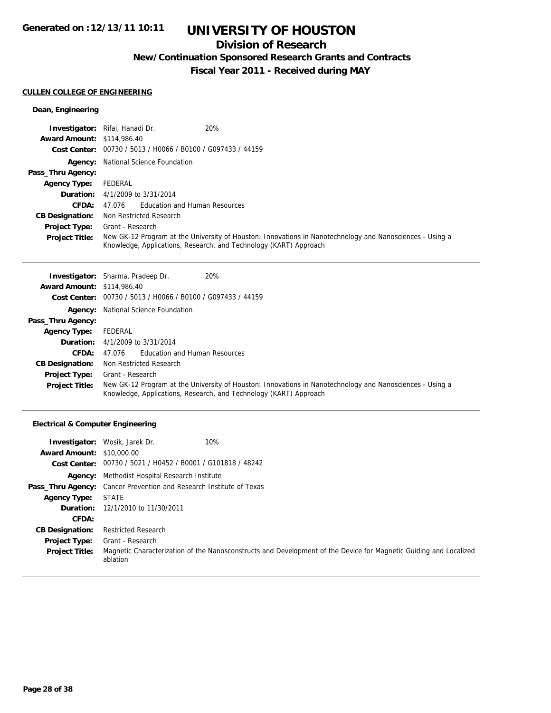## **Division of Research**

**New/Continuation Sponsored Research Grants and Contracts**

**Fiscal Year 2011 - Received during MAY**

## **CULLEN COLLEGE OF ENGINEERING**

## **Dean, Engineering**

|                                   | 20%<br><b>Investigator:</b> Rifai, Hanadi Dr.                                                                                                                                 |
|-----------------------------------|-------------------------------------------------------------------------------------------------------------------------------------------------------------------------------|
| <b>Award Amount: \$114,986.40</b> |                                                                                                                                                                               |
|                                   | Cost Center: 00730 / 5013 / H0066 / B0100 / G097433 / 44159                                                                                                                   |
|                                   | <b>Agency:</b> National Science Foundation                                                                                                                                    |
| Pass_Thru Agency:                 |                                                                                                                                                                               |
| <b>Agency Type:</b>               | FEDERAL                                                                                                                                                                       |
|                                   | <b>Duration:</b> $4/1/2009$ to $3/31/2014$                                                                                                                                    |
| <b>CFDA:</b>                      | 47.076 Education and Human Resources                                                                                                                                          |
| <b>CB Designation:</b>            | Non Restricted Research                                                                                                                                                       |
| <b>Project Type:</b>              | Grant - Research                                                                                                                                                              |
| <b>Project Title:</b>             | New GK-12 Program at the University of Houston: Innovations in Nanotechnology and Nanosciences - Using a<br>Knowledge, Applications, Research, and Technology (KART) Approach |

|                                   | 20%<br><b>Investigator:</b> Sharma, Pradeep Dr.                                                                                                                               |  |
|-----------------------------------|-------------------------------------------------------------------------------------------------------------------------------------------------------------------------------|--|
| <b>Award Amount: \$114,986.40</b> |                                                                                                                                                                               |  |
|                                   | Cost Center: 00730 / 5013 / H0066 / B0100 / G097433 / 44159                                                                                                                   |  |
|                                   | <b>Agency:</b> National Science Foundation                                                                                                                                    |  |
| Pass_Thru Agency:                 |                                                                                                                                                                               |  |
| <b>Agency Type:</b>               | FEDERAL                                                                                                                                                                       |  |
|                                   | <b>Duration:</b> 4/1/2009 to 3/31/2014                                                                                                                                        |  |
| CFDA:                             | Education and Human Resources<br>47.076                                                                                                                                       |  |
| <b>CB Designation:</b>            | Non Restricted Research                                                                                                                                                       |  |
| <b>Project Type:</b>              | Grant - Research                                                                                                                                                              |  |
| <b>Project Title:</b>             | New GK-12 Program at the University of Houston: Innovations in Nanotechnology and Nanosciences - Using a<br>Knowledge, Applications, Research, and Technology (KART) Approach |  |

## **Electrical & Computer Engineering**

|                                  | 10%<br><b>Investigator:</b> Wosik, Jarek Dr.                                                                                  |
|----------------------------------|-------------------------------------------------------------------------------------------------------------------------------|
| <b>Award Amount: \$10,000.00</b> |                                                                                                                               |
|                                  | Cost Center: 00730 / 5021 / H0452 / B0001 / G101818 / 48242                                                                   |
|                                  | <b>Agency:</b> Methodist Hospital Research Institute                                                                          |
|                                  | <b>Pass_Thru Agency:</b> Cancer Prevention and Research Institute of Texas                                                    |
| <b>Agency Type:</b>              | <b>STATE</b>                                                                                                                  |
|                                  | <b>Duration:</b> 12/1/2010 to 11/30/2011                                                                                      |
| CFDA:                            |                                                                                                                               |
| <b>CB Designation:</b>           | <b>Restricted Research</b>                                                                                                    |
| <b>Project Type:</b>             | Grant - Research                                                                                                              |
| <b>Project Title:</b>            | Magnetic Characterization of the Nanosconstructs and Development of the Device for Magnetic Guiding and Localized<br>ablation |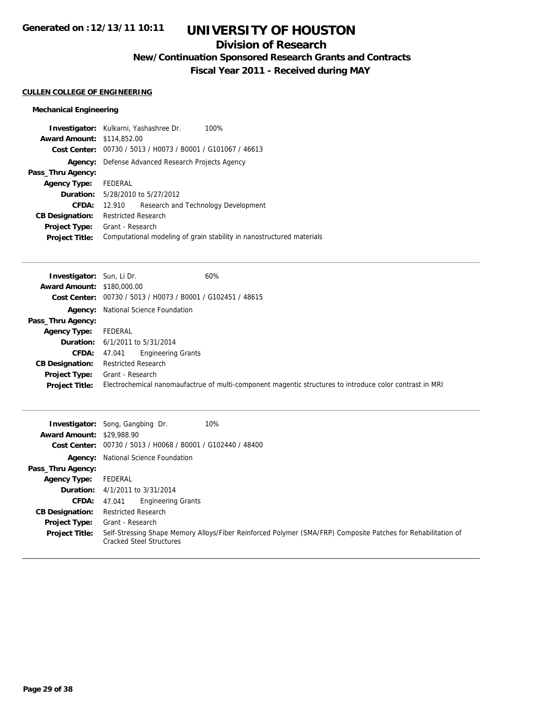## **Division of Research**

**New/Continuation Sponsored Research Grants and Contracts**

**Fiscal Year 2011 - Received during MAY**

## **CULLEN COLLEGE OF ENGINEERING**

## **Mechanical Engineering**

|                                   | Investigator: Kulkarni, Yashashree Dr.<br>100%                        |  |
|-----------------------------------|-----------------------------------------------------------------------|--|
| <b>Award Amount: \$114,852.00</b> |                                                                       |  |
|                                   | Cost Center: 00730 / 5013 / H0073 / B0001 / G101067 / 46613           |  |
| Agency:                           | Defense Advanced Research Projects Agency                             |  |
| Pass_Thru Agency:                 |                                                                       |  |
| <b>Agency Type:</b>               | FEDERAL                                                               |  |
|                                   | <b>Duration:</b> 5/28/2010 to 5/27/2012                               |  |
| CFDA:                             | Research and Technology Development<br>12.910                         |  |
| <b>CB Designation:</b>            | <b>Restricted Research</b>                                            |  |
| <b>Project Type:</b>              | Grant - Research                                                      |  |
| <b>Project Title:</b>             | Computational modeling of grain stability in nanostructured materials |  |

| <b>Investigator:</b> Sun, Li Dr.  |                                                             | 60%                                                                                                      |
|-----------------------------------|-------------------------------------------------------------|----------------------------------------------------------------------------------------------------------|
| <b>Award Amount: \$180,000.00</b> |                                                             |                                                                                                          |
|                                   | Cost Center: 00730 / 5013 / H0073 / B0001 / G102451 / 48615 |                                                                                                          |
|                                   | <b>Agency:</b> National Science Foundation                  |                                                                                                          |
| Pass_Thru Agency:                 |                                                             |                                                                                                          |
| <b>Agency Type:</b>               | FEDERAL                                                     |                                                                                                          |
|                                   | <b>Duration:</b> 6/1/2011 to 5/31/2014                      |                                                                                                          |
| <b>CFDA:</b>                      | <b>Engineering Grants</b><br>47.041                         |                                                                                                          |
| <b>CB Designation:</b>            | <b>Restricted Research</b>                                  |                                                                                                          |
| Project Type:                     | Grant - Research                                            |                                                                                                          |
| <b>Project Title:</b>             |                                                             | Electrochemical nanomaufactrue of multi-component magentic structures to introduce color contrast in MRI |

| <b>Award Amount: \$29,988.90</b> | 10%<br><b>Investigator:</b> Song, Gangbing Dr.<br>Cost Center: 00730 / 5013 / H0068 / B0001 / G102440 / 48400                                    |  |
|----------------------------------|--------------------------------------------------------------------------------------------------------------------------------------------------|--|
|                                  |                                                                                                                                                  |  |
|                                  | <b>Agency:</b> National Science Foundation                                                                                                       |  |
| Pass_Thru Agency:                |                                                                                                                                                  |  |
| <b>Agency Type:</b>              | FEDERAL                                                                                                                                          |  |
|                                  | <b>Duration:</b> $4/1/2011$ to $3/31/2014$                                                                                                       |  |
| <b>CFDA:</b>                     | <b>Engineering Grants</b><br>47.041                                                                                                              |  |
| <b>CB Designation:</b>           | <b>Restricted Research</b>                                                                                                                       |  |
| <b>Project Type:</b>             | Grant - Research                                                                                                                                 |  |
| <b>Project Title:</b>            | Self-Stressing Shape Memory Alloys/Fiber Reinforced Polymer (SMA/FRP) Composite Patches for Rehabilitation of<br><b>Cracked Steel Structures</b> |  |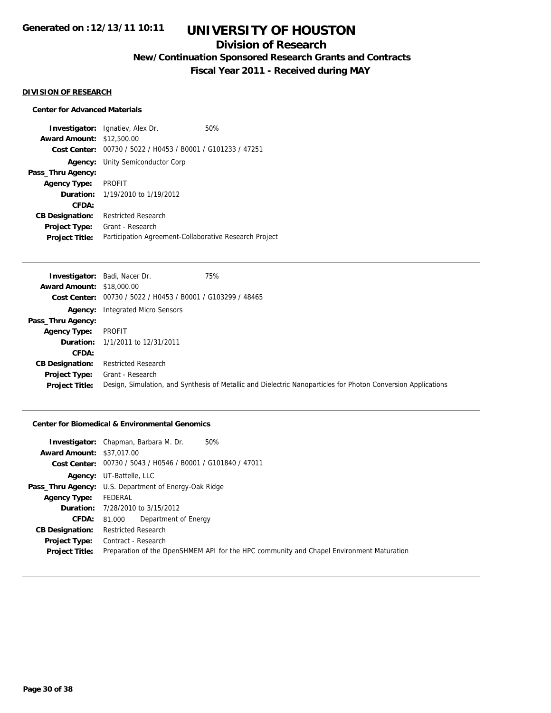## **Division of Research**

**New/Continuation Sponsored Research Grants and Contracts**

**Fiscal Year 2011 - Received during MAY**

#### **DIVISION OF RESEARCH**

### **Center for Advanced Materials**

**Investigator:** Ignatiev, Alex Dr. 60% **Award Amount:** \$12,500.00 **Cost Center:** 00730 / 5022 / H0453 / B0001 / G101233 / 47251 **Agency:** Unity Semiconductor Corp **Pass\_Thru Agency: Agency Type:** PROFIT **Duration:** 1/19/2010 to 1/19/2012 **CFDA: CB Designation:** Restricted Research **Project Type:** Grant - Research **Project Title:** Participation Agreement-Collaborative Research Project

|                                  | <b>Investigator:</b> Badi, Nacer Dr.                        | 75%                                                                                                           |
|----------------------------------|-------------------------------------------------------------|---------------------------------------------------------------------------------------------------------------|
| <b>Award Amount: \$18,000.00</b> |                                                             |                                                                                                               |
|                                  | Cost Center: 00730 / 5022 / H0453 / B0001 / G103299 / 48465 |                                                                                                               |
|                                  | <b>Agency:</b> Integrated Micro Sensors                     |                                                                                                               |
| Pass_Thru Agency:                |                                                             |                                                                                                               |
| <b>Agency Type:</b>              | PROFIT                                                      |                                                                                                               |
|                                  | <b>Duration:</b> 1/1/2011 to 12/31/2011                     |                                                                                                               |
| CFDA:                            |                                                             |                                                                                                               |
| <b>CB Designation:</b>           | <b>Restricted Research</b>                                  |                                                                                                               |
| Project Type:                    | Grant - Research                                            |                                                                                                               |
| <b>Project Title:</b>            |                                                             | Design, Simulation, and Synthesis of Metallic and Dielectric Nanoparticles for Photon Conversion Applications |

## **Center for Biomedical & Environmental Genomics**

|                                  | 50%<br><b>Investigator:</b> Chapman, Barbara M. Dr.                                      |  |
|----------------------------------|------------------------------------------------------------------------------------------|--|
| <b>Award Amount: \$37,017,00</b> |                                                                                          |  |
|                                  | Cost Center: 00730 / 5043 / H0546 / B0001 / G101840 / 47011                              |  |
|                                  | <b>Agency:</b> UT-Battelle, LLC                                                          |  |
|                                  | <b>Pass_Thru Agency:</b> U.S. Department of Energy-Oak Ridge                             |  |
| <b>Agency Type:</b>              | FEDERAL                                                                                  |  |
|                                  | <b>Duration:</b> 7/28/2010 to 3/15/2012                                                  |  |
| <b>CFDA:</b>                     | Department of Energy<br>81.000                                                           |  |
| <b>CB Designation:</b>           | Restricted Research                                                                      |  |
| Project Type:                    | Contract - Research                                                                      |  |
| <b>Project Title:</b>            | Preparation of the OpenSHMEM API for the HPC community and Chapel Environment Maturation |  |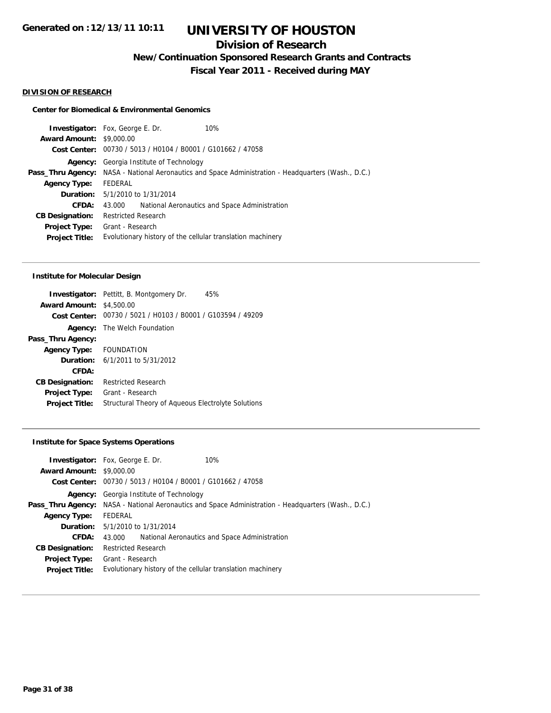## **Division of Research**

**New/Continuation Sponsored Research Grants and Contracts**

**Fiscal Year 2011 - Received during MAY**

#### **DIVISION OF RESEARCH**

### **Center for Biomedical & Environmental Genomics**

|                                 | <b>Investigator:</b> Fox, George E. Dr.                                                                    | 10%                                           |
|---------------------------------|------------------------------------------------------------------------------------------------------------|-----------------------------------------------|
| <b>Award Amount: \$9,000.00</b> |                                                                                                            |                                               |
|                                 | Cost Center: 00730 / 5013 / H0104 / B0001 / G101662 / 47058                                                |                                               |
| Agency:                         | Georgia Institute of Technology                                                                            |                                               |
|                                 | <b>Pass_Thru Agency:</b> NASA - National Aeronautics and Space Administration - Headquarters (Wash., D.C.) |                                               |
| <b>Agency Type:</b>             | FEDERAL                                                                                                    |                                               |
|                                 | <b>Duration:</b> 5/1/2010 to 1/31/2014                                                                     |                                               |
| CFDA:                           | 43.000                                                                                                     | National Aeronautics and Space Administration |
| <b>CB Designation:</b>          | <b>Restricted Research</b>                                                                                 |                                               |
| <b>Project Type:</b>            | Grant - Research                                                                                           |                                               |
| <b>Project Title:</b>           | Evolutionary history of the cellular translation machinery                                                 |                                               |
|                                 |                                                                                                            |                                               |

### **Institute for Molecular Design**

|                         | <b>Investigator:</b> Pettitt, B. Montgomery Dr.<br>45% |
|-------------------------|--------------------------------------------------------|
| <b>Award Amount:</b>    | \$4,500.00                                             |
| Cost Center:            | 00730 / 5021 / H0103 / B0001 / G103594 / 49209         |
| Agency:                 | The Welch Foundation                                   |
| Pass_Thru Agency:       |                                                        |
| Agency Type: FOUNDATION |                                                        |
|                         | <b>Duration:</b> 6/1/2011 to 5/31/2012                 |
| CFDA:                   |                                                        |
| <b>CB Designation:</b>  | <b>Restricted Research</b>                             |
| <b>Project Type:</b>    | Grant - Research                                       |
| <b>Project Title:</b>   | Structural Theory of Aqueous Electrolyte Solutions     |

## **Institute for Space Systems Operations**

|                                 | <b>Investigator:</b> Fox, George E. Dr.                                                                    | 10%                                           |
|---------------------------------|------------------------------------------------------------------------------------------------------------|-----------------------------------------------|
| <b>Award Amount: \$9,000.00</b> |                                                                                                            |                                               |
|                                 | Cost Center: 00730 / 5013 / H0104 / B0001 / G101662 / 47058                                                |                                               |
| Agency:                         | Georgia Institute of Technology                                                                            |                                               |
|                                 | <b>Pass_Thru Agency:</b> NASA - National Aeronautics and Space Administration - Headquarters (Wash., D.C.) |                                               |
| <b>Agency Type:</b>             | FEDERAL                                                                                                    |                                               |
|                                 | <b>Duration:</b> 5/1/2010 to 1/31/2014                                                                     |                                               |
| CFDA:                           | 43.000                                                                                                     | National Aeronautics and Space Administration |
| <b>CB Designation:</b>          | <b>Restricted Research</b>                                                                                 |                                               |
| <b>Project Type:</b>            | Grant - Research                                                                                           |                                               |
| <b>Project Title:</b>           | Evolutionary history of the cellular translation machinery                                                 |                                               |
|                                 |                                                                                                            |                                               |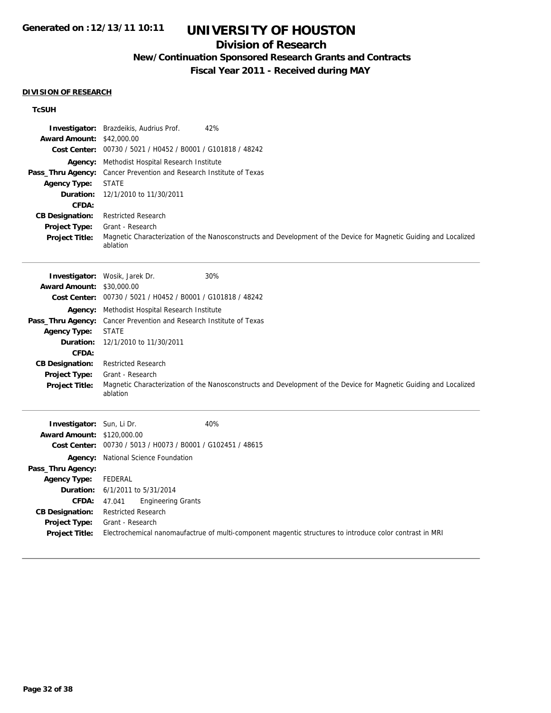## **Division of Research**

## **New/Continuation Sponsored Research Grants and Contracts**

**Fiscal Year 2011 - Received during MAY**

### **DIVISION OF RESEARCH**

## **TcSUH**

| Investigator:             | 42%<br>Brazdeikis, Audrius Prof.                                                                                              |
|---------------------------|-------------------------------------------------------------------------------------------------------------------------------|
| <b>Award Amount:</b>      | \$42,000.00                                                                                                                   |
|                           | Cost Center: 00730 / 5021 / H0452 / B0001 / G101818 / 48242                                                                   |
| Agency:                   | Methodist Hospital Research Institute                                                                                         |
| Pass_Thru Agency:         | Cancer Prevention and Research Institute of Texas                                                                             |
| <b>Agency Type:</b>       | <b>STATE</b>                                                                                                                  |
| Duration:                 | 12/1/2010 to 11/30/2011                                                                                                       |
| <b>CFDA:</b>              |                                                                                                                               |
| <b>CB Designation:</b>    | <b>Restricted Research</b>                                                                                                    |
| Project Type:             | Grant - Research                                                                                                              |
| <b>Project Title:</b>     | Magnetic Characterization of the Nanosconstructs and Development of the Device for Magnetic Guiding and Localized<br>ablation |
|                           | Investigator: Wosik, Jarek Dr.<br>30%                                                                                         |
| <b>Award Amount:</b>      | \$30,000.00                                                                                                                   |
|                           | Cost Center: 00730 / 5021 / H0452 / B0001 / G101818 / 48242                                                                   |
| Agency:                   | Methodist Hospital Research Institute                                                                                         |
| Pass_Thru Agency:         | Cancer Prevention and Research Institute of Texas                                                                             |
| <b>Agency Type:</b>       | <b>STATE</b>                                                                                                                  |
| <b>Duration:</b>          | 12/1/2010 to 11/30/2011                                                                                                       |
| CFDA:                     |                                                                                                                               |
| <b>CB Designation:</b>    | <b>Restricted Research</b>                                                                                                    |
| <b>Project Type:</b>      | Grant - Research                                                                                                              |
| <b>Project Title:</b>     | Magnetic Characterization of the Nanosconstructs and Development of the Device for Magnetic Guiding and Localized<br>ablation |
| Investigator: Sun, Li Dr. | 40%                                                                                                                           |
| <b>Award Amount:</b>      | \$120,000.00                                                                                                                  |
|                           | Cost Center: 00730 / 5013 / H0073 / B0001 / G102451 / 48615                                                                   |
|                           | Agency: National Science Foundation                                                                                           |
| Pass_Thru Agency:         |                                                                                                                               |
| <b>Agency Type:</b>       | FEDERAL                                                                                                                       |
| Duration:                 | 6/1/2011 to 5/31/2014                                                                                                         |
| <b>CFDA:</b>              | <b>Engineering Grants</b><br>47.041                                                                                           |
| <b>CB Designation:</b>    | <b>Restricted Research</b>                                                                                                    |
| Project Type:             | Grant - Research                                                                                                              |
| <b>Project Title:</b>     | Electrochemical nanomaufactrue of multi-component magentic structures to introduce color contrast in MRI                      |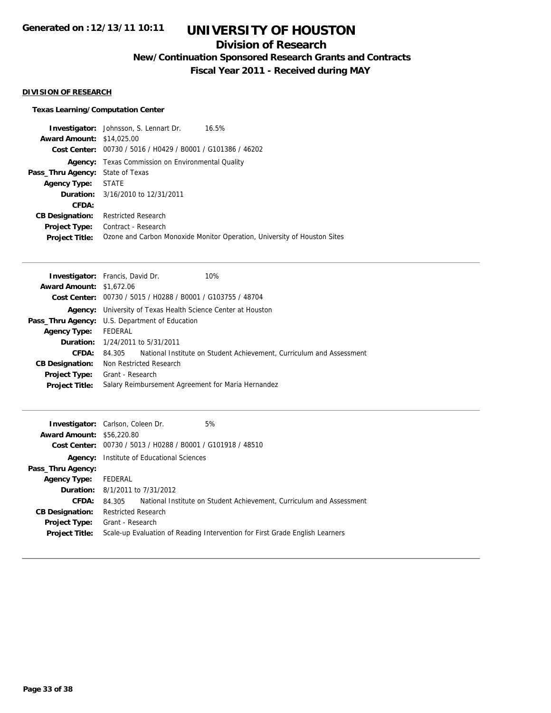## **Division of Research**

**New/Continuation Sponsored Research Grants and Contracts**

**Fiscal Year 2011 - Received during MAY**

## **DIVISION OF RESEARCH**

## **Texas Learning/Computation Center**

|                                         | Investigator: Johnsson, S. Lennart Dr.<br>16.5%                          |
|-----------------------------------------|--------------------------------------------------------------------------|
| <b>Award Amount: \$14,025,00</b>        |                                                                          |
|                                         | Cost Center: 00730 / 5016 / H0429 / B0001 / G101386 / 46202              |
|                                         | <b>Agency:</b> Texas Commission on Environmental Quality                 |
| <b>Pass_Thru Agency:</b> State of Texas |                                                                          |
| <b>Agency Type: STATE</b>               |                                                                          |
|                                         | <b>Duration:</b> 3/16/2010 to 12/31/2011                                 |
| CFDA:                                   |                                                                          |
| <b>CB Designation:</b>                  | <b>Restricted Research</b>                                               |
| Project Type:                           | Contract - Research                                                      |
| <b>Project Title:</b>                   | Ozone and Carbon Monoxide Monitor Operation, University of Houston Sites |

|                                 | <b>Investigator:</b> Francis, David Dr.                             | 10%                                                                         |
|---------------------------------|---------------------------------------------------------------------|-----------------------------------------------------------------------------|
| <b>Award Amount: \$1,672.06</b> |                                                                     |                                                                             |
|                                 | Cost Center: 00730 / 5015 / H0288 / B0001 / G103755 / 48704         |                                                                             |
|                                 | <b>Agency:</b> University of Texas Health Science Center at Houston |                                                                             |
|                                 | <b>Pass_Thru Agency:</b> U.S. Department of Education               |                                                                             |
| <b>Agency Type:</b>             | FEDERAL                                                             |                                                                             |
|                                 | <b>Duration:</b> 1/24/2011 to 5/31/2011                             |                                                                             |
| CFDA:                           |                                                                     | 84,305 National Institute on Student Achievement, Curriculum and Assessment |
| <b>CB Designation:</b>          | Non Restricted Research                                             |                                                                             |
| <b>Project Type:</b>            | Grant - Research                                                    |                                                                             |
| <b>Project Title:</b>           |                                                                     | Salary Reimbursement Agreement for Maria Hernandez                          |
|                                 |                                                                     |                                                                             |

| 5%<br><b>Investigator:</b> Carlson, Coleen Dr.                               |
|------------------------------------------------------------------------------|
| <b>Award Amount: \$56,220.80</b>                                             |
| Cost Center: 00730 / 5013 / H0288 / B0001 / G101918 / 48510                  |
| <b>Agency:</b> Institute of Educational Sciences                             |
|                                                                              |
| FEDERAL                                                                      |
| <b>Duration:</b> $8/1/2011$ to $7/31/2012$                                   |
| 84.305 National Institute on Student Achievement, Curriculum and Assessment  |
| <b>Restricted Research</b>                                                   |
| <b>Project Type:</b> Grant - Research                                        |
| Scale-up Evaluation of Reading Intervention for First Grade English Learners |
|                                                                              |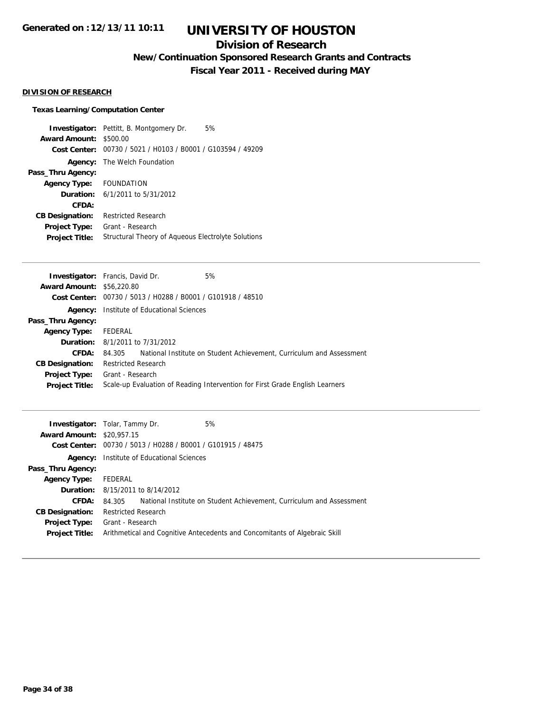## **Division of Research**

**New/Continuation Sponsored Research Grants and Contracts**

**Fiscal Year 2011 - Received during MAY**

### **DIVISION OF RESEARCH**

## **Texas Learning/Computation Center**

**Investigator:** Pettitt, B. Montgomery Dr. 5% **Award Amount:** \$500.00 **Cost Center:** 00730 / 5021 / H0103 / B0001 / G103594 / 49209 **Agency:** The Welch Foundation **Pass\_Thru Agency: Agency Type:** FOUNDATION **Duration:** 6/1/2011 to 5/31/2012 **CFDA: CB Designation:** Restricted Research **Project Type:** Grant - Research **Project Title:** Structural Theory of Aqueous Electrolyte Solutions

|                                  | <b>Investigator:</b> Francis, David Dr.                     | 5%                                                                           |
|----------------------------------|-------------------------------------------------------------|------------------------------------------------------------------------------|
| <b>Award Amount: \$56,220.80</b> |                                                             |                                                                              |
|                                  | Cost Center: 00730 / 5013 / H0288 / B0001 / G101918 / 48510 |                                                                              |
| Agency:                          | Institute of Educational Sciences                           |                                                                              |
| Pass_Thru Agency:                |                                                             |                                                                              |
| <b>Agency Type:</b>              | FEDERAL                                                     |                                                                              |
|                                  | <b>Duration:</b> 8/1/2011 to 7/31/2012                      |                                                                              |
| CFDA:                            | 84.305                                                      | National Institute on Student Achievement, Curriculum and Assessment         |
| <b>CB Designation:</b>           | <b>Restricted Research</b>                                  |                                                                              |
| <b>Project Type:</b>             | Grant - Research                                            |                                                                              |
| <b>Project Title:</b>            |                                                             | Scale-up Evaluation of Reading Intervention for First Grade English Learners |
|                                  |                                                             |                                                                              |

|                                  | 5%<br><b>Investigator:</b> Tolar, Tammy Dr.                                    |
|----------------------------------|--------------------------------------------------------------------------------|
| <b>Award Amount: \$20,957.15</b> |                                                                                |
|                                  | Cost Center: 00730 / 5013 / H0288 / B0001 / G101915 / 48475                    |
| Agency:                          | Institute of Educational Sciences                                              |
| Pass_Thru Agency:                |                                                                                |
| <b>Agency Type:</b>              | FEDERAL                                                                        |
|                                  | <b>Duration:</b> 8/15/2011 to 8/14/2012                                        |
| <b>CFDA:</b>                     | National Institute on Student Achievement, Curriculum and Assessment<br>84.305 |
| <b>CB Designation:</b>           | <b>Restricted Research</b>                                                     |
| Project Type:                    | Grant - Research                                                               |
| <b>Project Title:</b>            | Arithmetical and Cognitive Antecedents and Concomitants of Algebraic Skill     |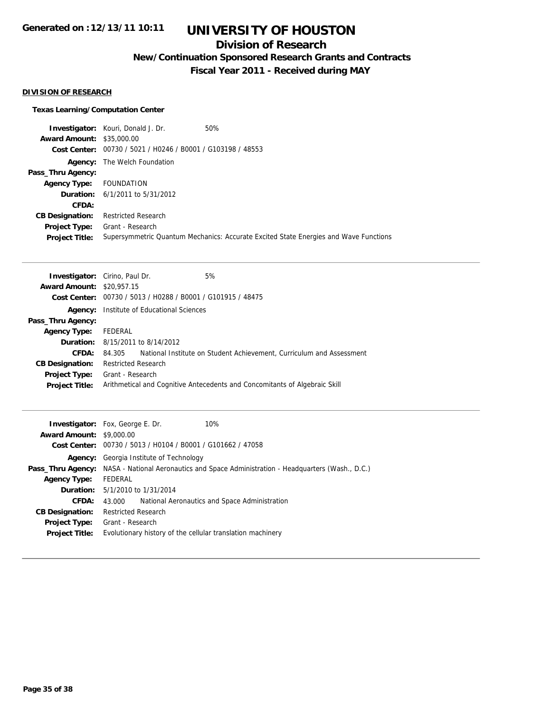## **Division of Research**

**New/Continuation Sponsored Research Grants and Contracts**

**Fiscal Year 2011 - Received during MAY**

## **DIVISION OF RESEARCH**

## **Texas Learning/Computation Center**

|                                  | <b>Investigator:</b> Kouri, Donald J. Dr.                   | 50%                                                                                  |
|----------------------------------|-------------------------------------------------------------|--------------------------------------------------------------------------------------|
| <b>Award Amount: \$35,000.00</b> |                                                             |                                                                                      |
|                                  | Cost Center: 00730 / 5021 / H0246 / B0001 / G103198 / 48553 |                                                                                      |
|                                  | <b>Agency:</b> The Welch Foundation                         |                                                                                      |
| Pass_Thru Agency:                |                                                             |                                                                                      |
| Agency Type:                     | FOUNDATION                                                  |                                                                                      |
|                                  | <b>Duration:</b> $6/1/2011$ to $5/31/2012$                  |                                                                                      |
| CFDA:                            |                                                             |                                                                                      |
| <b>CB Designation:</b>           | <b>Restricted Research</b>                                  |                                                                                      |
| Project Type:                    | Grant - Research                                            |                                                                                      |
| <b>Project Title:</b>            |                                                             | Supersymmetric Quantum Mechanics: Accurate Excited State Energies and Wave Functions |

| <b>Investigator:</b> Cirino, Paul Dr. |                            |                                                             | 5%                                                                         |
|---------------------------------------|----------------------------|-------------------------------------------------------------|----------------------------------------------------------------------------|
| <b>Award Amount: \$20,957.15</b>      |                            |                                                             |                                                                            |
|                                       |                            | Cost Center: 00730 / 5013 / H0288 / B0001 / G101915 / 48475 |                                                                            |
| Agency:                               |                            | Institute of Educational Sciences                           |                                                                            |
| Pass_Thru Agency:                     |                            |                                                             |                                                                            |
| <b>Agency Type:</b>                   | FEDERAL                    |                                                             |                                                                            |
|                                       |                            | <b>Duration:</b> 8/15/2011 to 8/14/2012                     |                                                                            |
| CFDA:                                 | 84.305                     |                                                             | National Institute on Student Achievement, Curriculum and Assessment       |
| <b>CB Designation:</b>                | <b>Restricted Research</b> |                                                             |                                                                            |
| Project Type:                         | Grant - Research           |                                                             |                                                                            |
| <b>Project Title:</b>                 |                            |                                                             | Arithmetical and Cognitive Antecedents and Concomitants of Algebraic Skill |
|                                       |                            |                                                             |                                                                            |

|                                 | 10%<br><b>Investigator:</b> Fox, George E. Dr.                                                             |
|---------------------------------|------------------------------------------------------------------------------------------------------------|
| <b>Award Amount: \$9,000.00</b> |                                                                                                            |
|                                 | Cost Center: 00730 / 5013 / H0104 / B0001 / G101662 / 47058                                                |
|                                 | <b>Agency:</b> Georgia Institute of Technology                                                             |
|                                 | <b>Pass_Thru Agency:</b> NASA - National Aeronautics and Space Administration - Headquarters (Wash., D.C.) |
| <b>Agency Type:</b>             | FEDERAL                                                                                                    |
|                                 | <b>Duration:</b> 5/1/2010 to 1/31/2014                                                                     |
| CFDA:                           | National Aeronautics and Space Administration<br>43.000                                                    |
| <b>CB Designation:</b>          | <b>Restricted Research</b>                                                                                 |
| <b>Project Type:</b>            | Grant - Research                                                                                           |
| <b>Project Title:</b>           | Evolutionary history of the cellular translation machinery                                                 |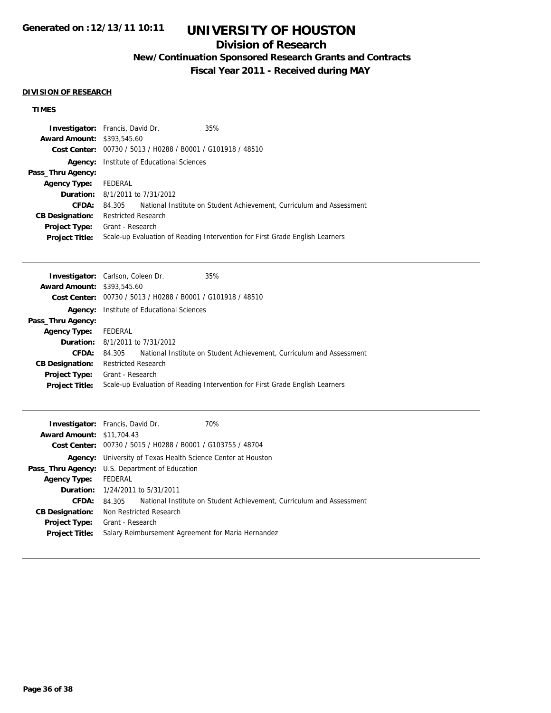# **UNIVERSITY OF HOUSTON**

## **Division of Research**

**New/Continuation Sponsored Research Grants and Contracts**

**Fiscal Year 2011 - Received during MAY**

### **DIVISION OF RESEARCH**

## **TIMES**

| <b>Investigator:</b> Francis, David Dr.                     | 35%                                                                          |
|-------------------------------------------------------------|------------------------------------------------------------------------------|
| <b>Award Amount: \$393,545.60</b>                           |                                                                              |
| Cost Center: 00730 / 5013 / H0288 / B0001 / G101918 / 48510 |                                                                              |
| Institute of Educational Sciences<br>Agency:                |                                                                              |
|                                                             |                                                                              |
| FEDERAL                                                     |                                                                              |
| <b>Duration:</b> 8/1/2011 to 7/31/2012                      |                                                                              |
| 84.305                                                      | National Institute on Student Achievement, Curriculum and Assessment         |
| <b>Restricted Research</b>                                  |                                                                              |
| Grant - Research                                            |                                                                              |
|                                                             | Scale-up Evaluation of Reading Intervention for First Grade English Learners |
|                                                             |                                                                              |

| <b>Investigator:</b> Carlson, Coleen Dr. |                            |                                                             | 35%                                                                          |
|------------------------------------------|----------------------------|-------------------------------------------------------------|------------------------------------------------------------------------------|
| <b>Award Amount: \$393,545.60</b>        |                            |                                                             |                                                                              |
|                                          |                            | Cost Center: 00730 / 5013 / H0288 / B0001 / G101918 / 48510 |                                                                              |
|                                          |                            | <b>Agency:</b> Institute of Educational Sciences            |                                                                              |
| Pass_Thru Agency:                        |                            |                                                             |                                                                              |
| <b>Agency Type:</b>                      | FEDERAL                    |                                                             |                                                                              |
|                                          |                            | <b>Duration:</b> 8/1/2011 to 7/31/2012                      |                                                                              |
| CFDA:                                    | 84.305                     |                                                             | National Institute on Student Achievement, Curriculum and Assessment         |
| <b>CB Designation:</b>                   | <b>Restricted Research</b> |                                                             |                                                                              |
| <b>Project Type:</b>                     | Grant - Research           |                                                             |                                                                              |
| <b>Project Title:</b>                    |                            |                                                             | Scale-up Evaluation of Reading Intervention for First Grade English Learners |
|                                          |                            |                                                             |                                                                              |

| <b>Investigator:</b> Francis, David Dr.<br>70%                              |
|-----------------------------------------------------------------------------|
| <b>Award Amount: \$11,704.43</b>                                            |
| Cost Center: 00730 / 5015 / H0288 / B0001 / G103755 / 48704                 |
| <b>Agency:</b> University of Texas Health Science Center at Houston         |
| <b>Pass_Thru Agency:</b> U.S. Department of Education                       |
| FEDERAL                                                                     |
| <b>Duration:</b> 1/24/2011 to 5/31/2011                                     |
| 84.305 National Institute on Student Achievement, Curriculum and Assessment |
| Non Restricted Research                                                     |
| Grant - Research                                                            |
| Salary Reimbursement Agreement for Maria Hernandez                          |
|                                                                             |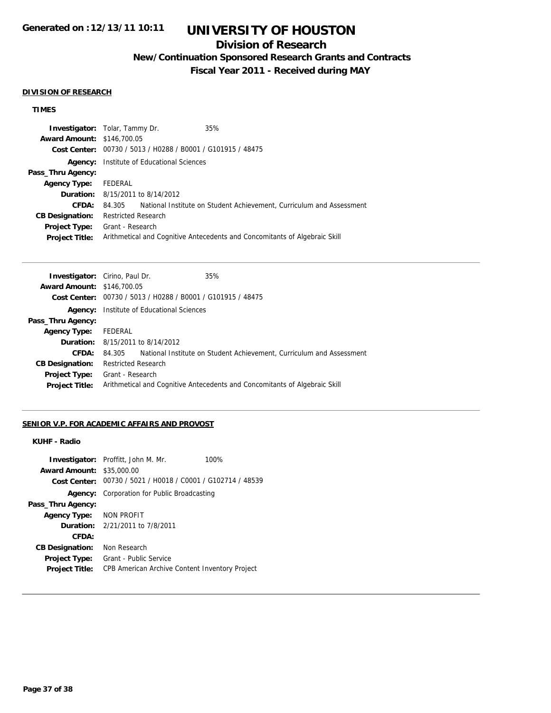# **UNIVERSITY OF HOUSTON**

## **Division of Research**

**New/Continuation Sponsored Research Grants and Contracts**

**Fiscal Year 2011 - Received during MAY**

#### **DIVISION OF RESEARCH**

### **TIMES**

|         | 35%                                                                                                                                                                                                                                                                         |
|---------|-----------------------------------------------------------------------------------------------------------------------------------------------------------------------------------------------------------------------------------------------------------------------------|
|         |                                                                                                                                                                                                                                                                             |
|         |                                                                                                                                                                                                                                                                             |
|         |                                                                                                                                                                                                                                                                             |
|         |                                                                                                                                                                                                                                                                             |
| FEDERAL |                                                                                                                                                                                                                                                                             |
|         |                                                                                                                                                                                                                                                                             |
| 84.305  | National Institute on Student Achievement, Curriculum and Assessment                                                                                                                                                                                                        |
|         |                                                                                                                                                                                                                                                                             |
|         |                                                                                                                                                                                                                                                                             |
|         | Arithmetical and Cognitive Antecedents and Concomitants of Algebraic Skill                                                                                                                                                                                                  |
|         | <b>Investigator:</b> Tolar, Tammy Dr.<br><b>Award Amount: \$146,700.05</b><br>Cost Center: 00730 / 5013 / H0288 / B0001 / G101915 / 48475<br>Institute of Educational Sciences<br><b>Duration:</b> 8/15/2011 to 8/14/2012<br><b>Restricted Research</b><br>Grant - Research |

| <b>Investigator:</b> Cirino, Paul Dr. |                            |                                                             | 35%                                                                        |
|---------------------------------------|----------------------------|-------------------------------------------------------------|----------------------------------------------------------------------------|
| <b>Award Amount: \$146,700.05</b>     |                            |                                                             |                                                                            |
|                                       |                            | Cost Center: 00730 / 5013 / H0288 / B0001 / G101915 / 48475 |                                                                            |
|                                       |                            | <b>Agency:</b> Institute of Educational Sciences            |                                                                            |
| Pass_Thru Agency:                     |                            |                                                             |                                                                            |
| <b>Agency Type:</b>                   | FEDERAL                    |                                                             |                                                                            |
|                                       |                            | <b>Duration:</b> 8/15/2011 to 8/14/2012                     |                                                                            |
| CFDA:                                 | 84.305                     |                                                             | National Institute on Student Achievement, Curriculum and Assessment       |
| <b>CB Designation:</b>                | <b>Restricted Research</b> |                                                             |                                                                            |
| <b>Project Type:</b>                  | Grant - Research           |                                                             |                                                                            |
| <b>Project Title:</b>                 |                            |                                                             | Arithmetical and Cognitive Antecedents and Concomitants of Algebraic Skill |
|                                       |                            |                                                             |                                                                            |

## **SENIOR V.P. FOR ACADEMIC AFFAIRS AND PROVOST**

## **KUHF - Radio**

|                         | <b>Investigator:</b> Proffitt, John M. Mr.                  | 100% |
|-------------------------|-------------------------------------------------------------|------|
| <b>Award Amount:</b>    | \$35,000.00                                                 |      |
|                         | Cost Center: 00730 / 5021 / H0018 / C0001 / G102714 / 48539 |      |
|                         | <b>Agency:</b> Corporation for Public Broadcasting          |      |
| Pass_Thru Agency:       |                                                             |      |
| Agency Type: NON PROFIT |                                                             |      |
|                         | <b>Duration:</b> 2/21/2011 to 7/8/2011                      |      |
| CFDA:                   |                                                             |      |
| <b>CB Designation:</b>  | Non Research                                                |      |
| <b>Project Type:</b>    | Grant - Public Service                                      |      |
| <b>Project Title:</b>   | CPB American Archive Content Inventory Project              |      |